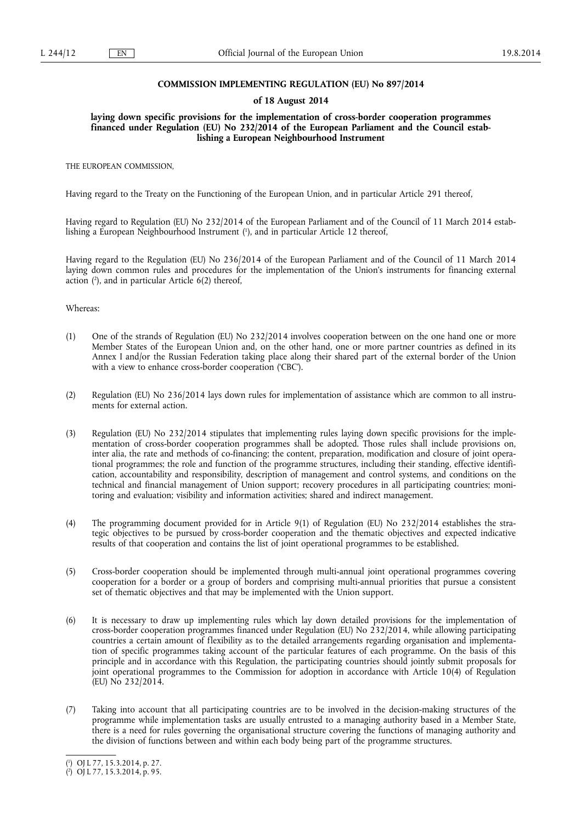### **COMMISSION IMPLEMENTING REGULATION (EU) No 897/2014**

### **of 18 August 2014**

**laying down specific provisions for the implementation of cross-border cooperation programmes financed under Regulation (EU) No 232/2014 of the European Parliament and the Council establishing a European Neighbourhood Instrument** 

THE EUROPEAN COMMISSION,

Having regard to the Treaty on the Functioning of the European Union, and in particular Article 291 thereof,

Having regard to Regulation (EU) No 232/2014 of the European Parliament and of the Council of 11 March 2014 establishing a European Neighbourhood Instrument ( 1 ), and in particular Article 12 thereof,

Having regard to the Regulation (EU) No 236/2014 of the European Parliament and of the Council of 11 March 2014 laying down common rules and procedures for the implementation of the Union's instruments for financing external action ( 2 ), and in particular Article 6(2) thereof,

### Whereas:

- (1) One of the strands of Regulation (EU) No 232/2014 involves cooperation between on the one hand one or more Member States of the European Union and, on the other hand, one or more partner countries as defined in its Annex I and/or the Russian Federation taking place along their shared part of the external border of the Union with a view to enhance cross-border cooperation ('CBC').
- (2) Regulation (EU) No 236/2014 lays down rules for implementation of assistance which are common to all instruments for external action.
- (3) Regulation (EU) No 232/2014 stipulates that implementing rules laying down specific provisions for the implementation of cross-border cooperation programmes shall be adopted. Those rules shall include provisions on, inter alia, the rate and methods of co-financing; the content, preparation, modification and closure of joint operational programmes; the role and function of the programme structures, including their standing, effective identification, accountability and responsibility, description of management and control systems, and conditions on the technical and financial management of Union support; recovery procedures in all participating countries; monitoring and evaluation; visibility and information activities; shared and indirect management.
- (4) The programming document provided for in Article 9(1) of Regulation (EU) No 232/2014 establishes the strategic objectives to be pursued by cross-border cooperation and the thematic objectives and expected indicative results of that cooperation and contains the list of joint operational programmes to be established.
- (5) Cross-border cooperation should be implemented through multi-annual joint operational programmes covering cooperation for a border or a group of borders and comprising multi-annual priorities that pursue a consistent set of thematic objectives and that may be implemented with the Union support.
- (6) It is necessary to draw up implementing rules which lay down detailed provisions for the implementation of cross-border cooperation programmes financed under Regulation (EU) No 232/2014, while allowing participating countries a certain amount of flexibility as to the detailed arrangements regarding organisation and implementation of specific programmes taking account of the particular features of each programme. On the basis of this principle and in accordance with this Regulation, the participating countries should jointly submit proposals for joint operational programmes to the Commission for adoption in accordance with Article 10(4) of Regulation (EU) No 232/2014.
- (7) Taking into account that all participating countries are to be involved in the decision-making structures of the programme while implementation tasks are usually entrusted to a managing authority based in a Member State, there is a need for rules governing the organisational structure covering the functions of managing authority and the division of functions between and within each body being part of the programme structures.

<sup>(</sup> 1 ) OJ L 77, 15.3.2014, p. 27.

<sup>(</sup> 2 ) OJ L 77, 15.3.2014, p. 95.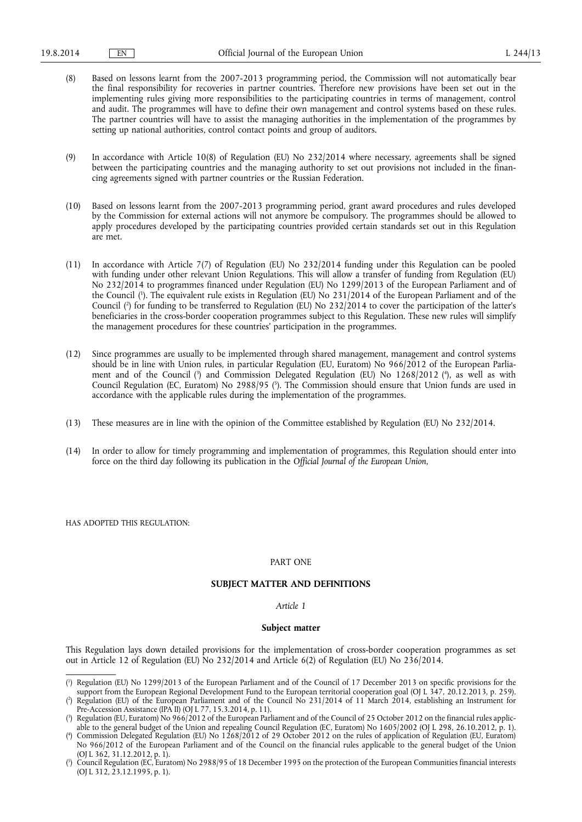(8) Based on lessons learnt from the 2007-2013 programming period, the Commission will not automatically bear the final responsibility for recoveries in partner countries. Therefore new provisions have been set out in the implementing rules giving more responsibilities to the participating countries in terms of management, control and audit. The programmes will have to define their own management and control systems based on these rules. The partner countries will have to assist the managing authorities in the implementation of the programmes by setting up national authorities, control contact points and group of auditors.

(9) In accordance with Article 10(8) of Regulation (EU) No 232/2014 where necessary, agreements shall be signed between the participating countries and the managing authority to set out provisions not included in the financing agreements signed with partner countries or the Russian Federation.

- (10) Based on lessons learnt from the 2007-2013 programming period, grant award procedures and rules developed by the Commission for external actions will not anymore be compulsory. The programmes should be allowed to apply procedures developed by the participating countries provided certain standards set out in this Regulation are met.
- (11) In accordance with Article 7(7) of Regulation (EU) No 232/2014 funding under this Regulation can be pooled with funding under other relevant Union Regulations. This will allow a transfer of funding from Regulation (EU) No 232/2014 to programmes financed under Regulation (EU) No 1299/2013 of the European Parliament and of the Council ( 1 ). The equivalent rule exists in Regulation (EU) No 231/2014 of the European Parliament and of the Council ( 2 ) for funding to be transferred to Regulation (EU) No 232/2014 to cover the participation of the latter's beneficiaries in the cross-border cooperation programmes subject to this Regulation. These new rules will simplify the management procedures for these countries' participation in the programmes.
- (12) Since programmes are usually to be implemented through shared management, management and control systems should be in line with Union rules, in particular Regulation (EU, Euratom) No 966/2012 of the European Parliament and of the Council ( 3 ) and Commission Delegated Regulation (EU) No 1268/2012 ( 4 ), as well as with Council Regulation (EC, Euratom) No 2988/95 ( 5 ). The Commission should ensure that Union funds are used in accordance with the applicable rules during the implementation of the programmes.
- (13) These measures are in line with the opinion of the Committee established by Regulation (EU) No 232/2014.
- (14) In order to allow for timely programming and implementation of programmes, this Regulation should enter into force on the third day following its publication in the *Official Journal of the European Union*,

HAS ADOPTED THIS REGULATION:

## PART ONE

# **SUBJECT MATTER AND DEFINITIONS**

### *Article 1*

### **Subject matter**

This Regulation lays down detailed provisions for the implementation of cross-border cooperation programmes as set out in Article 12 of Regulation (EU) No 232/2014 and Article 6(2) of Regulation (EU) No 236/2014.

<sup>(</sup> 1 ) Regulation (EU) No 1299/2013 of the European Parliament and of the Council of 17 December 2013 on specific provisions for the support from the European Regional Development Fund to the European territorial cooperation goal (OJ L 347, 20.12.2013, p. 259).

<sup>(</sup> 2 ) Regulation (EU) of the European Parliament and of the Council No 231/2014 of 11 March 2014, establishing an Instrument for Pre-Accession Assistance (IPA II) (OJ L 77, 15.3.2014, p. 11).

<sup>(</sup> 3 ) Regulation (EU, Euratom) No 966/2012 of the European Parliament and of the Council of 25 October 2012 on the financial rules applicable to the general budget of the Union and repealing Council Regulation (EC, Euratom) No 1605/2002 (OJ L 298, 26.10.2012, p. 1).

<sup>(</sup> 4 ) Commission Delegated Regulation (EU) No 1268/2012 of 29 October 2012 on the rules of application of Regulation (EU, Euratom) No 966/2012 of the European Parliament and of the Council on the financial rules applicable to the general budget of the Union (OJ L 362, 31.12.2012, p. 1).

<sup>(</sup> 5 ) Council Regulation (EC, Euratom) No 2988/95 of 18 December 1995 on the protection of the European Communities financial interests (OJ L 312, 23.12.1995, p. 1).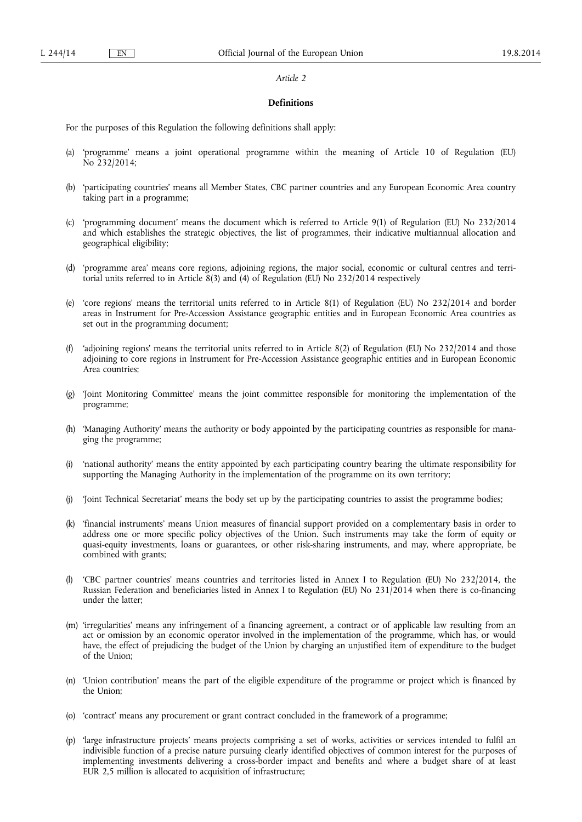## **Definitions**

For the purposes of this Regulation the following definitions shall apply:

- (a) 'programme' means a joint operational programme within the meaning of Article 10 of Regulation (EU)  $\hat{N}$ o 232/2014;
- (b) 'participating countries' means all Member States, CBC partner countries and any European Economic Area country taking part in a programme;
- (c) 'programming document' means the document which is referred to Article 9(1) of Regulation (EU) No 232/2014 and which establishes the strategic objectives, the list of programmes, their indicative multiannual allocation and geographical eligibility;
- (d) 'programme area' means core regions, adjoining regions, the major social, economic or cultural centres and territorial units referred to in Article 8(3) and (4) of Regulation (EU) No 232/2014 respectively
- (e) 'core regions' means the territorial units referred to in Article 8(1) of Regulation (EU) No 232/2014 and border areas in Instrument for Pre-Accession Assistance geographic entities and in European Economic Area countries as set out in the programming document;
- (f) 'adjoining regions' means the territorial units referred to in Article 8(2) of Regulation (EU) No 232/2014 and those adjoining to core regions in Instrument for Pre-Accession Assistance geographic entities and in European Economic Area countries;
- (g) 'Joint Monitoring Committee' means the joint committee responsible for monitoring the implementation of the programme;
- (h) 'Managing Authority' means the authority or body appointed by the participating countries as responsible for managing the programme;
- (i) 'national authority' means the entity appointed by each participating country bearing the ultimate responsibility for supporting the Managing Authority in the implementation of the programme on its own territory;
- (j) 'Joint Technical Secretariat' means the body set up by the participating countries to assist the programme bodies;
- (k) 'financial instruments' means Union measures of financial support provided on a complementary basis in order to address one or more specific policy objectives of the Union. Such instruments may take the form of equity or quasi-equity investments, loans or guarantees, or other risk-sharing instruments, and may, where appropriate, be combined with grants;
- (l) 'CBC partner countries' means countries and territories listed in Annex I to Regulation (EU) No 232/2014, the Russian Federation and beneficiaries listed in Annex I to Regulation (EU) No 231/2014 when there is co-financing under the latter;
- (m) 'irregularities' means any infringement of a financing agreement, a contract or of applicable law resulting from an act or omission by an economic operator involved in the implementation of the programme, which has, or would have, the effect of prejudicing the budget of the Union by charging an unjustified item of expenditure to the budget of the Union;
- (n) 'Union contribution' means the part of the eligible expenditure of the programme or project which is financed by the Union;
- (o) 'contract' means any procurement or grant contract concluded in the framework of a programme;
- (p) 'large infrastructure projects' means projects comprising a set of works, activities or services intended to fulfil an indivisible function of a precise nature pursuing clearly identified objectives of common interest for the purposes of implementing investments delivering a cross-border impact and benefits and where a budget share of at least EUR 2,5 million is allocated to acquisition of infrastructure;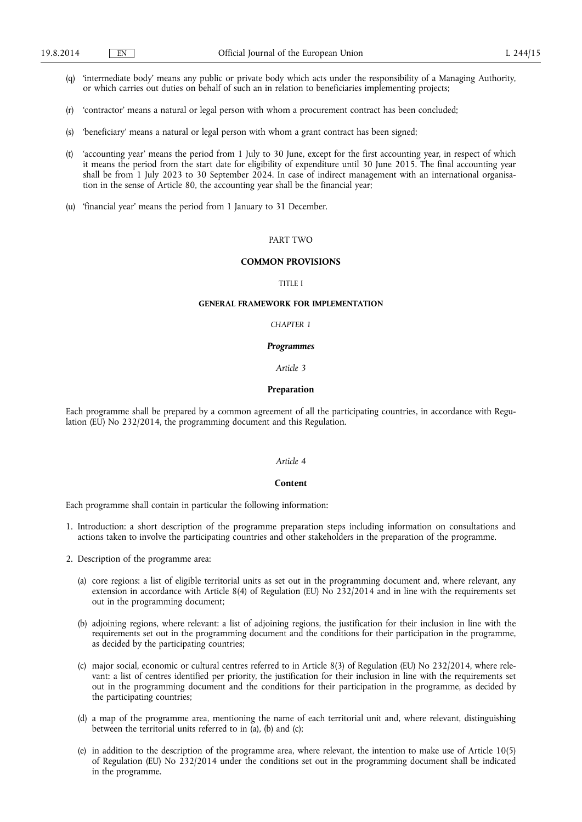- (q) 'intermediate body' means any public or private body which acts under the responsibility of a Managing Authority, or which carries out duties on behalf of such an in relation to beneficiaries implementing projects;
- (r) 'contractor' means a natural or legal person with whom a procurement contract has been concluded;
- (s) 'beneficiary' means a natural or legal person with whom a grant contract has been signed;
- (t) 'accounting year' means the period from 1 July to 30 June, except for the first accounting year, in respect of which it means the period from the start date for eligibility of expenditure until 30 June 2015. The final accounting year shall be from 1 July 2023 to 30 September 2024. In case of indirect management with an international organisation in the sense of Article 80, the accounting year shall be the financial year;
- (u) 'financial year' means the period from 1 January to 31 December.

# PART TWO

# **COMMON PROVISIONS**

## TITLE I

### **GENERAL FRAMEWORK FOR IMPLEMENTATION**

#### *CHAPTER 1*

#### *Programmes*

### *Article 3*

## **Preparation**

Each programme shall be prepared by a common agreement of all the participating countries, in accordance with Regulation (EU) No 232/2014, the programming document and this Regulation.

## *Article 4*

### **Content**

Each programme shall contain in particular the following information:

- 1. Introduction: a short description of the programme preparation steps including information on consultations and actions taken to involve the participating countries and other stakeholders in the preparation of the programme.
- 2. Description of the programme area:
	- (a) core regions: a list of eligible territorial units as set out in the programming document and, where relevant, any extension in accordance with Article 8(4) of Regulation (EU) No 232/2014 and in line with the requirements set out in the programming document;
	- (b) adjoining regions, where relevant: a list of adjoining regions, the justification for their inclusion in line with the requirements set out in the programming document and the conditions for their participation in the programme, as decided by the participating countries;
	- (c) major social, economic or cultural centres referred to in Article 8(3) of Regulation (EU) No 232/2014, where relevant: a list of centres identified per priority, the justification for their inclusion in line with the requirements set out in the programming document and the conditions for their participation in the programme, as decided by the participating countries;
	- (d) a map of the programme area, mentioning the name of each territorial unit and, where relevant, distinguishing between the territorial units referred to in (a), (b) and (c);
	- (e) in addition to the description of the programme area, where relevant, the intention to make use of Article 10(5) of Regulation (EU) No 232/2014 under the conditions set out in the programming document shall be indicated in the programme.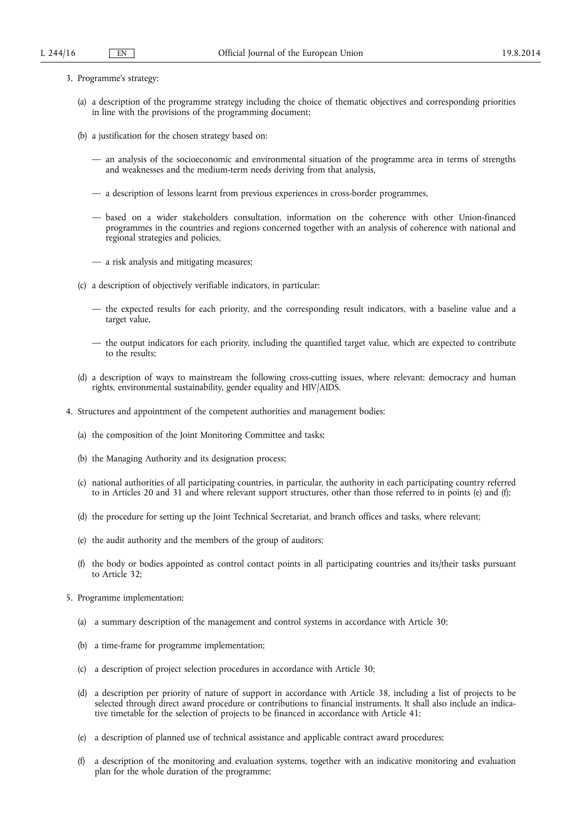- 3. Programme's strategy:
	- (a) a description of the programme strategy including the choice of thematic objectives and corresponding priorities in line with the provisions of the programming document;
	- (b) a justification for the chosen strategy based on:
		- an analysis of the socioeconomic and environmental situation of the programme area in terms of strengths and weaknesses and the medium-term needs deriving from that analysis,
		- a description of lessons learnt from previous experiences in cross-border programmes,
		- based on a wider stakeholders consultation, information on the coherence with other Union-financed programmes in the countries and regions concerned together with an analysis of coherence with national and regional strategies and policies,
		- a risk analysis and mitigating measures;
	- (c) a description of objectively verifiable indicators, in particular:
		- the expected results for each priority, and the corresponding result indicators, with a baseline value and a target value,
		- the output indicators for each priority, including the quantified target value, which are expected to contribute to the results;
	- (d) a description of ways to mainstream the following cross-cutting issues, where relevant: democracy and human rights, environmental sustainability, gender equality and HIV/AIDS.
- 4. Structures and appointment of the competent authorities and management bodies:
	- (a) the composition of the Joint Monitoring Committee and tasks;
	- (b) the Managing Authority and its designation process;
	- (c) national authorities of all participating countries, in particular, the authority in each participating country referred to in Articles 20 and 31 and where relevant support structures, other than those referred to in points (e) and (f);
	- (d) the procedure for setting up the Joint Technical Secretariat, and branch offices and tasks, where relevant;
	- (e) the audit authority and the members of the group of auditors;
	- (f) the body or bodies appointed as control contact points in all participating countries and its/their tasks pursuant to Article 32;
- 5. Programme implementation:
	- (a) a summary description of the management and control systems in accordance with Article 30;
	- (b) a time-frame for programme implementation;
	- (c) a description of project selection procedures in accordance with Article 30;
	- (d) a description per priority of nature of support in accordance with Article 38, including a list of projects to be selected through direct award procedure or contributions to financial instruments. It shall also include an indicative timetable for the selection of projects to be financed in accordance with Article 41;
	- (e) a description of planned use of technical assistance and applicable contract award procedures;
	- (f) a description of the monitoring and evaluation systems, together with an indicative monitoring and evaluation plan for the whole duration of the programme;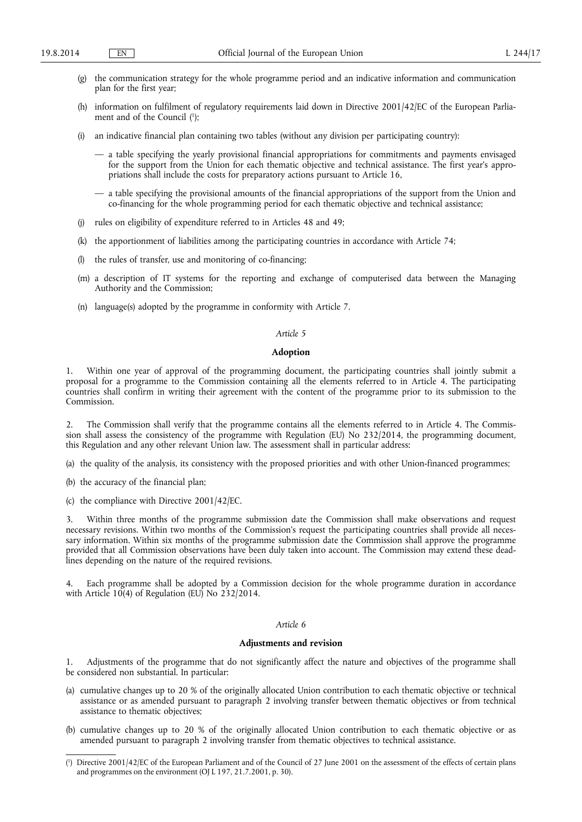- (g) the communication strategy for the whole programme period and an indicative information and communication plan for the first year;
- (h) information on fulfilment of regulatory requirements laid down in Directive 2001/42/EC of the European Parliament and of the Council ( 1 );
- (i) an indicative financial plan containing two tables (without any division per participating country):
	- a table specifying the yearly provisional financial appropriations for commitments and payments envisaged for the support from the Union for each thematic objective and technical assistance. The first year's appropriations shall include the costs for preparatory actions pursuant to Article 16,
	- a table specifying the provisional amounts of the financial appropriations of the support from the Union and co-financing for the whole programming period for each thematic objective and technical assistance;
- (j) rules on eligibility of expenditure referred to in Articles 48 and 49;
- (k) the apportionment of liabilities among the participating countries in accordance with Article 74;
- the rules of transfer, use and monitoring of co-financing;
- (m) a description of IT systems for the reporting and exchange of computerised data between the Managing Authority and the Commission;
- (n) language(s) adopted by the programme in conformity with Article 7.

#### **Adoption**

1. Within one year of approval of the programming document, the participating countries shall jointly submit a proposal for a programme to the Commission containing all the elements referred to in Article 4. The participating countries shall confirm in writing their agreement with the content of the programme prior to its submission to the Commission.

2. The Commission shall verify that the programme contains all the elements referred to in Article 4. The Commission shall assess the consistency of the programme with Regulation (EU) No 232/2014, the programming document, this Regulation and any other relevant Union law. The assessment shall in particular address:

- (a) the quality of the analysis, its consistency with the proposed priorities and with other Union-financed programmes;
- (b) the accuracy of the financial plan;
- (c) the compliance with Directive 2001/42/EC.

3. Within three months of the programme submission date the Commission shall make observations and request necessary revisions. Within two months of the Commission's request the participating countries shall provide all necessary information. Within six months of the programme submission date the Commission shall approve the programme provided that all Commission observations have been duly taken into account. The Commission may extend these deadlines depending on the nature of the required revisions.

4. Each programme shall be adopted by a Commission decision for the whole programme duration in accordance with Article 10(4) of Regulation (EU) No 232/2014.

# *Article 6*

#### **Adjustments and revision**

1. Adjustments of the programme that do not significantly affect the nature and objectives of the programme shall be considered non substantial. In particular:

- (a) cumulative changes up to 20 % of the originally allocated Union contribution to each thematic objective or technical assistance or as amended pursuant to paragraph 2 involving transfer between thematic objectives or from technical assistance to thematic objectives;
- (b) cumulative changes up to 20 % of the originally allocated Union contribution to each thematic objective or as amended pursuant to paragraph 2 involving transfer from thematic objectives to technical assistance.

<sup>(</sup> 1 ) Directive 2001/42/EC of the European Parliament and of the Council of 27 June 2001 on the assessment of the effects of certain plans and programmes on the environment (OJ L 197, 21.7.2001, p. 30).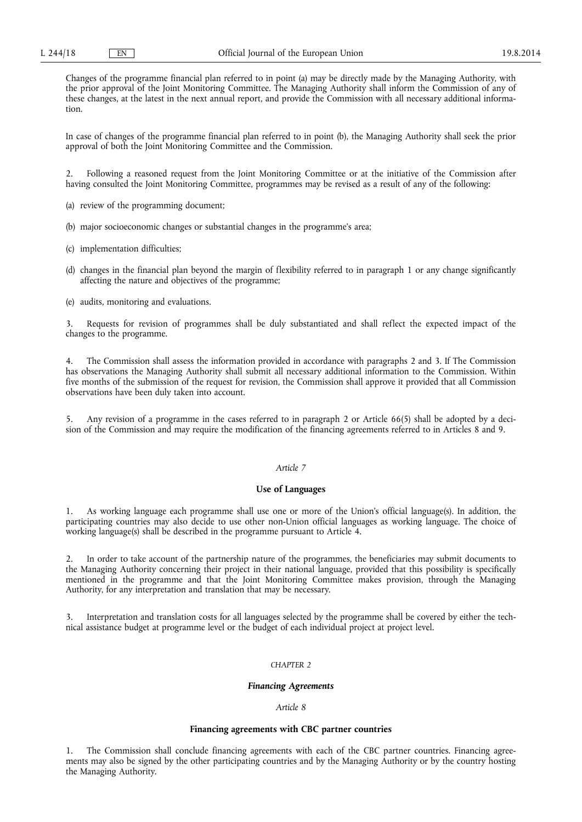Changes of the programme financial plan referred to in point (a) may be directly made by the Managing Authority, with the prior approval of the Joint Monitoring Committee. The Managing Authority shall inform the Commission of any of these changes, at the latest in the next annual report, and provide the Commission with all necessary additional information.

In case of changes of the programme financial plan referred to in point (b), the Managing Authority shall seek the prior approval of both the Joint Monitoring Committee and the Commission.

2. Following a reasoned request from the Joint Monitoring Committee or at the initiative of the Commission after having consulted the Joint Monitoring Committee, programmes may be revised as a result of any of the following:

(a) review of the programming document;

- (b) major socioeconomic changes or substantial changes in the programme's area;
- (c) implementation difficulties;
- (d) changes in the financial plan beyond the margin of flexibility referred to in paragraph 1 or any change significantly affecting the nature and objectives of the programme;

(e) audits, monitoring and evaluations.

3. Requests for revision of programmes shall be duly substantiated and shall reflect the expected impact of the changes to the programme.

4. The Commission shall assess the information provided in accordance with paragraphs 2 and 3. If The Commission has observations the Managing Authority shall submit all necessary additional information to the Commission. Within five months of the submission of the request for revision, the Commission shall approve it provided that all Commission observations have been duly taken into account.

5. Any revision of a programme in the cases referred to in paragraph 2 or Article 66(5) shall be adopted by a decision of the Commission and may require the modification of the financing agreements referred to in Articles 8 and 9.

# *Article 7*

# **Use of Languages**

1. As working language each programme shall use one or more of the Union's official language(s). In addition, the participating countries may also decide to use other non-Union official languages as working language. The choice of working language(s) shall be described in the programme pursuant to Article 4.

2. In order to take account of the partnership nature of the programmes, the beneficiaries may submit documents to the Managing Authority concerning their project in their national language, provided that this possibility is specifically mentioned in the programme and that the Joint Monitoring Committee makes provision, through the Managing Authority, for any interpretation and translation that may be necessary.

Interpretation and translation costs for all languages selected by the programme shall be covered by either the technical assistance budget at programme level or the budget of each individual project at project level.

## *CHAPTER 2*

#### *Financing Agreements*

### *Article 8*

## **Financing agreements with CBC partner countries**

1. The Commission shall conclude financing agreements with each of the CBC partner countries. Financing agreements may also be signed by the other participating countries and by the Managing Authority or by the country hosting the Managing Authority.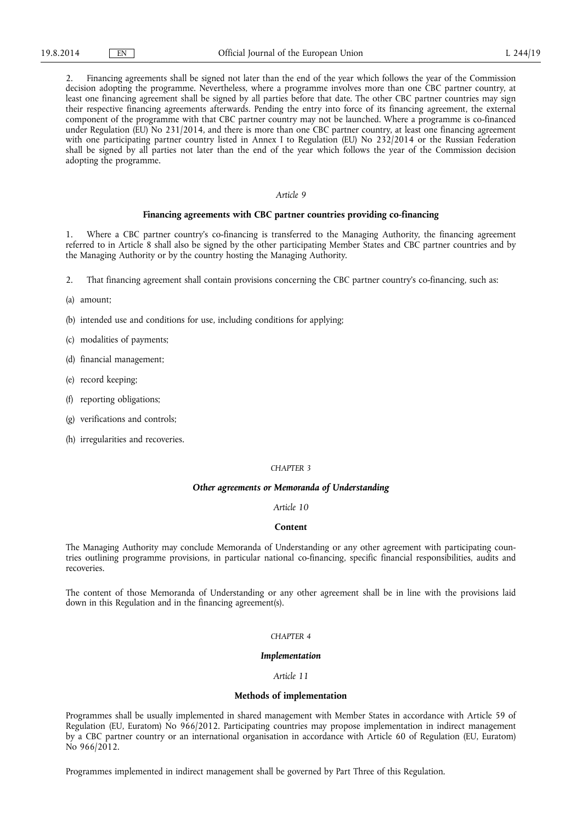2. Financing agreements shall be signed not later than the end of the year which follows the year of the Commission decision adopting the programme. Nevertheless, where a programme involves more than one CBC partner country, at least one financing agreement shall be signed by all parties before that date. The other CBC partner countries may sign their respective financing agreements afterwards. Pending the entry into force of its financing agreement, the external component of the programme with that CBC partner country may not be launched. Where a programme is co-financed under Regulation (EU) No 231/2014, and there is more than one CBC partner country, at least one financing agreement with one participating partner country listed in Annex I to Regulation (EU) No 232/2014 or the Russian Federation shall be signed by all parties not later than the end of the year which follows the year of the Commission decision adopting the programme.

## *Article 9*

### **Financing agreements with CBC partner countries providing co-financing**

1. Where a CBC partner country's co-financing is transferred to the Managing Authority, the financing agreement referred to in Article 8 shall also be signed by the other participating Member States and CBC partner countries and by the Managing Authority or by the country hosting the Managing Authority.

2. That financing agreement shall contain provisions concerning the CBC partner country's co-financing, such as:

#### (a) amount;

- (b) intended use and conditions for use, including conditions for applying;
- (c) modalities of payments;
- (d) financial management;
- (e) record keeping;
- (f) reporting obligations;
- (g) verifications and controls;
- (h) irregularities and recoveries.

### *CHAPTER 3*

### *Other agreements or Memoranda of Understanding*

## *Article 10*

#### **Content**

The Managing Authority may conclude Memoranda of Understanding or any other agreement with participating countries outlining programme provisions, in particular national co-financing, specific financial responsibilities, audits and recoveries.

The content of those Memoranda of Understanding or any other agreement shall be in line with the provisions laid down in this Regulation and in the financing agreement(s).

# *CHAPTER 4*

## *Implementation*

## *Article 11*

### **Methods of implementation**

Programmes shall be usually implemented in shared management with Member States in accordance with Article 59 of Regulation (EU, Euratom) No 966/2012. Participating countries may propose implementation in indirect management by a CBC partner country or an international organisation in accordance with Article 60 of Regulation (EU, Euratom) No 966/2012.

Programmes implemented in indirect management shall be governed by Part Three of this Regulation.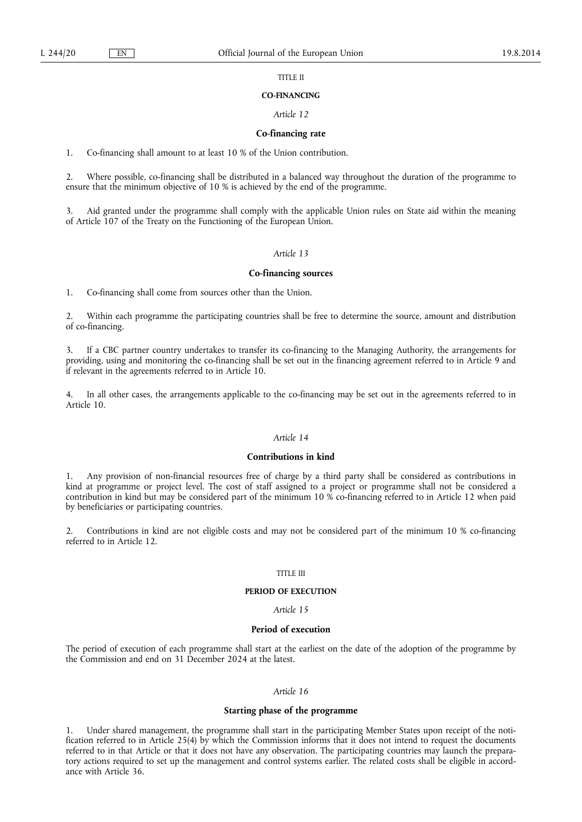#### TITLE II

#### **CO-FINANCING**

## *Article 12*

### **Co-financing rate**

1. Co-financing shall amount to at least 10 % of the Union contribution.

2. Where possible, co-financing shall be distributed in a balanced way throughout the duration of the programme to ensure that the minimum objective of 10 % is achieved by the end of the programme.

3. Aid granted under the programme shall comply with the applicable Union rules on State aid within the meaning of Article 107 of the Treaty on the Functioning of the European Union.

#### *Article 13*

## **Co-financing sources**

1. Co-financing shall come from sources other than the Union.

2. Within each programme the participating countries shall be free to determine the source, amount and distribution of co-financing.

3. If a CBC partner country undertakes to transfer its co-financing to the Managing Authority, the arrangements for providing, using and monitoring the co-financing shall be set out in the financing agreement referred to in Article 9 and if relevant in the agreements referred to in Article 10.

4. In all other cases, the arrangements applicable to the co-financing may be set out in the agreements referred to in Article 10.

## *Article 14*

## **Contributions in kind**

1. Any provision of non-financial resources free of charge by a third party shall be considered as contributions in kind at programme or project level. The cost of staff assigned to a project or programme shall not be considered a contribution in kind but may be considered part of the minimum 10 % co-financing referred to in Article 12 when paid by beneficiaries or participating countries.

2. Contributions in kind are not eligible costs and may not be considered part of the minimum 10 % co-financing referred to in Article 12.

## TITLE III

### **PERIOD OF EXECUTION**

*Article 15* 

#### **Period of execution**

The period of execution of each programme shall start at the earliest on the date of the adoption of the programme by the Commission and end on 31 December 2024 at the latest.

# *Article 16*

# **Starting phase of the programme**

1. Under shared management, the programme shall start in the participating Member States upon receipt of the notification referred to in Article 25(4) by which the Commission informs that it does not intend to request the documents referred to in that Article or that it does not have any observation. The participating countries may launch the preparatory actions required to set up the management and control systems earlier. The related costs shall be eligible in accordance with Article 36.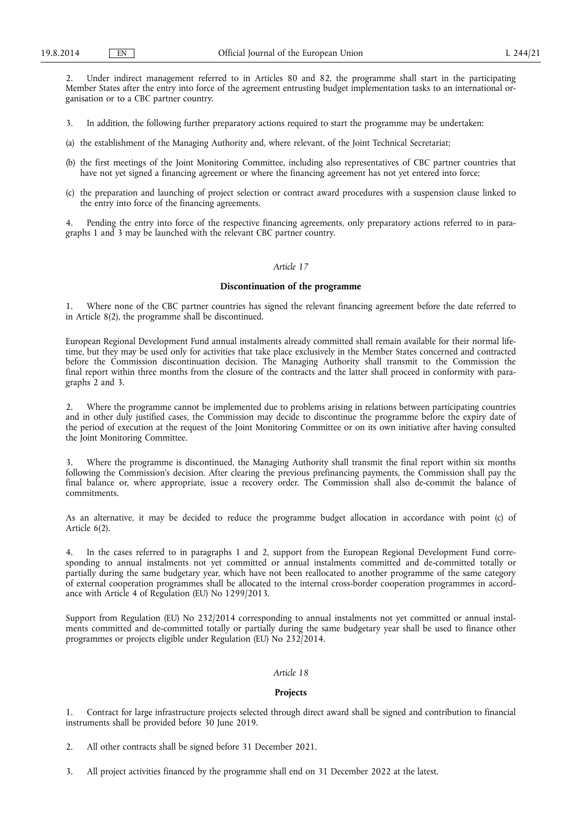2. Under indirect management referred to in Articles 80 and 82, the programme shall start in the participating Member States after the entry into force of the agreement entrusting budget implementation tasks to an international organisation or to a CBC partner country.

- 3. In addition, the following further preparatory actions required to start the programme may be undertaken:
- (a) the establishment of the Managing Authority and, where relevant, of the Joint Technical Secretariat;
- (b) the first meetings of the Joint Monitoring Committee, including also representatives of CBC partner countries that have not yet signed a financing agreement or where the financing agreement has not yet entered into force;
- (c) the preparation and launching of project selection or contract award procedures with a suspension clause linked to the entry into force of the financing agreements.

Pending the entry into force of the respective financing agreements, only preparatory actions referred to in paragraphs 1 and 3 may be launched with the relevant CBC partner country.

## *Article 17*

## **Discontinuation of the programme**

1. Where none of the CBC partner countries has signed the relevant financing agreement before the date referred to in Article 8(2), the programme shall be discontinued.

European Regional Development Fund annual instalments already committed shall remain available for their normal lifetime, but they may be used only for activities that take place exclusively in the Member States concerned and contracted before the Commission discontinuation decision. The Managing Authority shall transmit to the Commission the final report within three months from the closure of the contracts and the latter shall proceed in conformity with paragraphs 2 and 3.

2. Where the programme cannot be implemented due to problems arising in relations between participating countries and in other duly justified cases, the Commission may decide to discontinue the programme before the expiry date of the period of execution at the request of the Joint Monitoring Committee or on its own initiative after having consulted the Joint Monitoring Committee.

Where the programme is discontinued, the Managing Authority shall transmit the final report within six months following the Commission's decision. After clearing the previous prefinancing payments, the Commission shall pay the final balance or, where appropriate, issue a recovery order. The Commission shall also de-commit the balance of commitments.

As an alternative, it may be decided to reduce the programme budget allocation in accordance with point (c) of Article 6(2).

In the cases referred to in paragraphs 1 and 2, support from the European Regional Development Fund corresponding to annual instalments not yet committed or annual instalments committed and de-committed totally or partially during the same budgetary year, which have not been reallocated to another programme of the same category of external cooperation programmes shall be allocated to the internal cross-border cooperation programmes in accordance with Article 4 of Regulation (EU) No 1299/2013.

Support from Regulation (EU) No 232/2014 corresponding to annual instalments not yet committed or annual instalments committed and de-committed totally or partially during the same budgetary year shall be used to finance other programmes or projects eligible under Regulation (EU) No 232/2014.

## *Article 18*

## **Projects**

1. Contract for large infrastructure projects selected through direct award shall be signed and contribution to financial instruments shall be provided before 30 June 2019.

- 2. All other contracts shall be signed before 31 December 2021.
- 3. All project activities financed by the programme shall end on 31 December 2022 at the latest.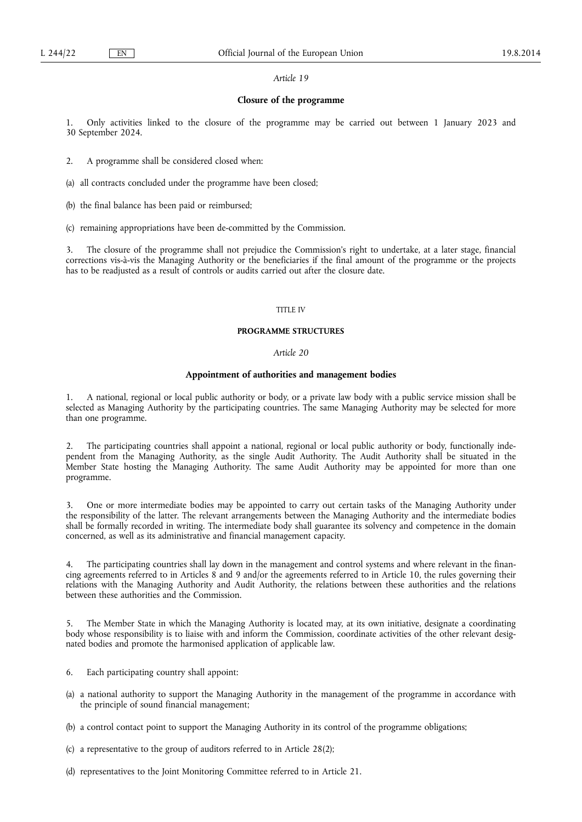# **Closure of the programme**

1. Only activities linked to the closure of the programme may be carried out between 1 January 2023 and 30 September 2024.

2. A programme shall be considered closed when:

(a) all contracts concluded under the programme have been closed;

- (b) the final balance has been paid or reimbursed;
- (c) remaining appropriations have been de-committed by the Commission.

3. The closure of the programme shall not prejudice the Commission's right to undertake, at a later stage, financial corrections vis-à-vis the Managing Authority or the beneficiaries if the final amount of the programme or the projects has to be readjusted as a result of controls or audits carried out after the closure date.

### TITLE IV

### **PROGRAMME STRUCTURES**

### *Article 20*

## **Appointment of authorities and management bodies**

1. A national, regional or local public authority or body, or a private law body with a public service mission shall be selected as Managing Authority by the participating countries. The same Managing Authority may be selected for more than one programme.

2. The participating countries shall appoint a national, regional or local public authority or body, functionally independent from the Managing Authority, as the single Audit Authority. The Audit Authority shall be situated in the Member State hosting the Managing Authority. The same Audit Authority may be appointed for more than one programme.

3. One or more intermediate bodies may be appointed to carry out certain tasks of the Managing Authority under the responsibility of the latter. The relevant arrangements between the Managing Authority and the intermediate bodies shall be formally recorded in writing. The intermediate body shall guarantee its solvency and competence in the domain concerned, as well as its administrative and financial management capacity.

4. The participating countries shall lay down in the management and control systems and where relevant in the financing agreements referred to in Articles 8 and 9 and/or the agreements referred to in Article 10, the rules governing their relations with the Managing Authority and Audit Authority, the relations between these authorities and the relations between these authorities and the Commission.

5. The Member State in which the Managing Authority is located may, at its own initiative, designate a coordinating body whose responsibility is to liaise with and inform the Commission, coordinate activities of the other relevant designated bodies and promote the harmonised application of applicable law.

- 6. Each participating country shall appoint:
- (a) a national authority to support the Managing Authority in the management of the programme in accordance with the principle of sound financial management;
- (b) a control contact point to support the Managing Authority in its control of the programme obligations;
- (c) a representative to the group of auditors referred to in Article 28(2);
- (d) representatives to the Joint Monitoring Committee referred to in Article 21.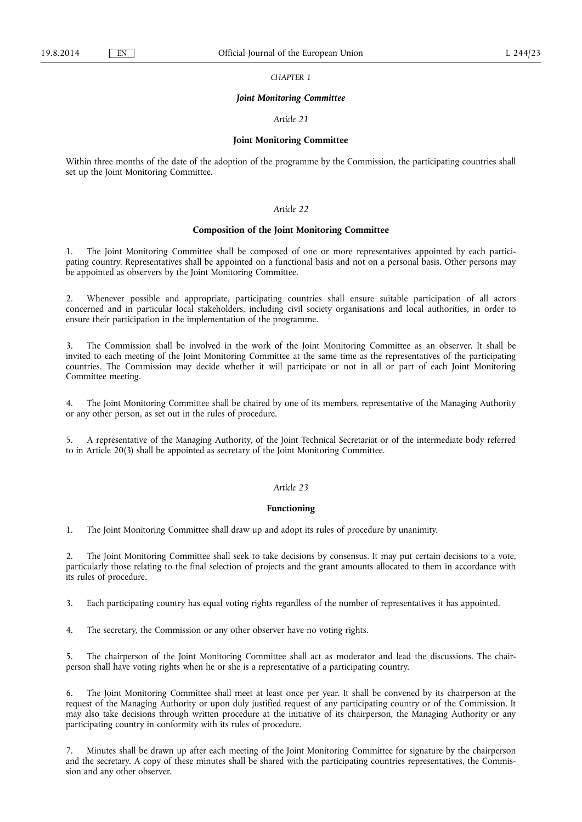*CHAPTER 1* 

#### *Joint Monitoring Committee*

#### *Article 21*

### **Joint Monitoring Committee**

Within three months of the date of the adoption of the programme by the Commission, the participating countries shall set up the Joint Monitoring Committee.

## *Article 22*

# **Composition of the Joint Monitoring Committee**

1. The Joint Monitoring Committee shall be composed of one or more representatives appointed by each participating country. Representatives shall be appointed on a functional basis and not on a personal basis. Other persons may be appointed as observers by the Joint Monitoring Committee.

2. Whenever possible and appropriate, participating countries shall ensure suitable participation of all actors concerned and in particular local stakeholders, including civil society organisations and local authorities, in order to ensure their participation in the implementation of the programme.

3. The Commission shall be involved in the work of the Joint Monitoring Committee as an observer. It shall be invited to each meeting of the Joint Monitoring Committee at the same time as the representatives of the participating countries. The Commission may decide whether it will participate or not in all or part of each Joint Monitoring Committee meeting.

4. The Joint Monitoring Committee shall be chaired by one of its members, representative of the Managing Authority or any other person, as set out in the rules of procedure.

5. A representative of the Managing Authority, of the Joint Technical Secretariat or of the intermediate body referred to in Article 20(3) shall be appointed as secretary of the Joint Monitoring Committee.

### *Article 23*

## **Functioning**

1. The Joint Monitoring Committee shall draw up and adopt its rules of procedure by unanimity.

2. The Joint Monitoring Committee shall seek to take decisions by consensus. It may put certain decisions to a vote, particularly those relating to the final selection of projects and the grant amounts allocated to them in accordance with its rules of procedure.

3. Each participating country has equal voting rights regardless of the number of representatives it has appointed.

4. The secretary, the Commission or any other observer have no voting rights.

5. The chairperson of the Joint Monitoring Committee shall act as moderator and lead the discussions. The chairperson shall have voting rights when he or she is a representative of a participating country.

The Joint Monitoring Committee shall meet at least once per year. It shall be convened by its chairperson at the request of the Managing Authority or upon duly justified request of any participating country or of the Commission. It may also take decisions through written procedure at the initiative of its chairperson, the Managing Authority or any participating country in conformity with its rules of procedure.

7. Minutes shall be drawn up after each meeting of the Joint Monitoring Committee for signature by the chairperson and the secretary. A copy of these minutes shall be shared with the participating countries representatives, the Commission and any other observer.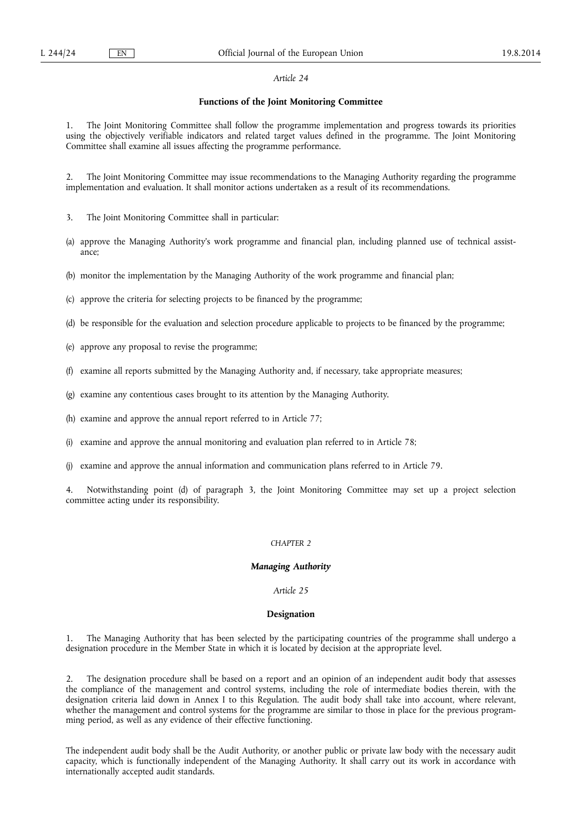# **Functions of the Joint Monitoring Committee**

1. The Joint Monitoring Committee shall follow the programme implementation and progress towards its priorities using the objectively verifiable indicators and related target values defined in the programme. The Joint Monitoring Committee shall examine all issues affecting the programme performance.

2. The Joint Monitoring Committee may issue recommendations to the Managing Authority regarding the programme implementation and evaluation. It shall monitor actions undertaken as a result of its recommendations.

3. The Joint Monitoring Committee shall in particular:

- (a) approve the Managing Authority's work programme and financial plan, including planned use of technical assistance;
- (b) monitor the implementation by the Managing Authority of the work programme and financial plan;
- (c) approve the criteria for selecting projects to be financed by the programme;
- (d) be responsible for the evaluation and selection procedure applicable to projects to be financed by the programme;
- (e) approve any proposal to revise the programme;
- (f) examine all reports submitted by the Managing Authority and, if necessary, take appropriate measures;
- (g) examine any contentious cases brought to its attention by the Managing Authority.
- (h) examine and approve the annual report referred to in Article 77;
- (i) examine and approve the annual monitoring and evaluation plan referred to in Article 78;
- (j) examine and approve the annual information and communication plans referred to in Article 79.

4. Notwithstanding point (d) of paragraph 3, the Joint Monitoring Committee may set up a project selection committee acting under its responsibility.

## *CHAPTER 2*

## *Managing Authority*

## *Article 25*

# **Designation**

1. The Managing Authority that has been selected by the participating countries of the programme shall undergo a designation procedure in the Member State in which it is located by decision at the appropriate level.

2. The designation procedure shall be based on a report and an opinion of an independent audit body that assesses the compliance of the management and control systems, including the role of intermediate bodies therein, with the designation criteria laid down in Annex I to this Regulation. The audit body shall take into account, where relevant, whether the management and control systems for the programme are similar to those in place for the previous programming period, as well as any evidence of their effective functioning.

The independent audit body shall be the Audit Authority, or another public or private law body with the necessary audit capacity, which is functionally independent of the Managing Authority. It shall carry out its work in accordance with internationally accepted audit standards.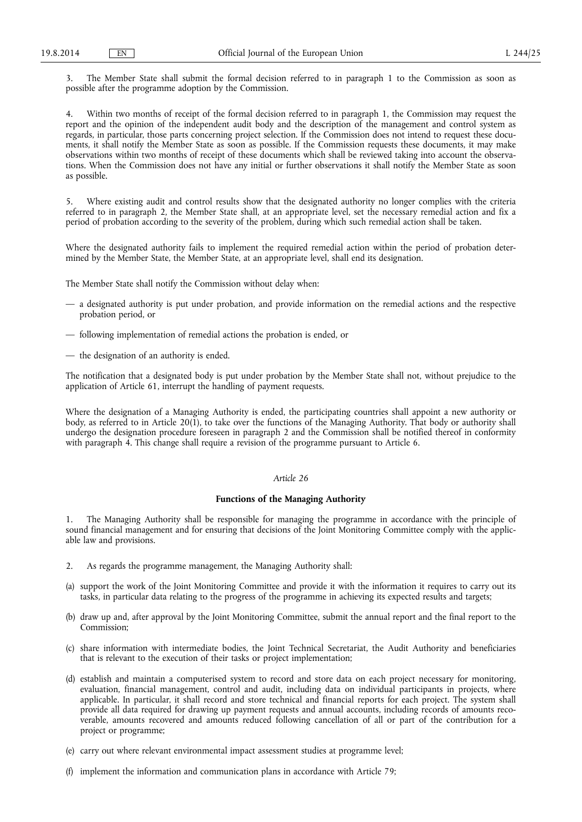3. The Member State shall submit the formal decision referred to in paragraph 1 to the Commission as soon as possible after the programme adoption by the Commission.

Within two months of receipt of the formal decision referred to in paragraph 1, the Commission may request the report and the opinion of the independent audit body and the description of the management and control system as regards, in particular, those parts concerning project selection. If the Commission does not intend to request these documents, it shall notify the Member State as soon as possible. If the Commission requests these documents, it may make observations within two months of receipt of these documents which shall be reviewed taking into account the observations. When the Commission does not have any initial or further observations it shall notify the Member State as soon as possible.

5. Where existing audit and control results show that the designated authority no longer complies with the criteria referred to in paragraph 2, the Member State shall, at an appropriate level, set the necessary remedial action and fix a period of probation according to the severity of the problem, during which such remedial action shall be taken.

Where the designated authority fails to implement the required remedial action within the period of probation determined by the Member State, the Member State, at an appropriate level, shall end its designation.

The Member State shall notify the Commission without delay when:

- a designated authority is put under probation, and provide information on the remedial actions and the respective probation period, or
- following implementation of remedial actions the probation is ended, or
- the designation of an authority is ended.

The notification that a designated body is put under probation by the Member State shall not, without prejudice to the application of Article 61, interrupt the handling of payment requests.

Where the designation of a Managing Authority is ended, the participating countries shall appoint a new authority or body, as referred to in Article 20(1), to take over the functions of the Managing Authority. That body or authority shall undergo the designation procedure foreseen in paragraph 2 and the Commission shall be notified thereof in conformity with paragraph 4. This change shall require a revision of the programme pursuant to Article 6.

## *Article 26*

# **Functions of the Managing Authority**

1. The Managing Authority shall be responsible for managing the programme in accordance with the principle of sound financial management and for ensuring that decisions of the Joint Monitoring Committee comply with the applicable law and provisions.

- 2. As regards the programme management, the Managing Authority shall:
- (a) support the work of the Joint Monitoring Committee and provide it with the information it requires to carry out its tasks, in particular data relating to the progress of the programme in achieving its expected results and targets;
- (b) draw up and, after approval by the Joint Monitoring Committee, submit the annual report and the final report to the Commission;
- (c) share information with intermediate bodies, the Joint Technical Secretariat, the Audit Authority and beneficiaries that is relevant to the execution of their tasks or project implementation;
- (d) establish and maintain a computerised system to record and store data on each project necessary for monitoring, evaluation, financial management, control and audit, including data on individual participants in projects, where applicable. In particular, it shall record and store technical and financial reports for each project. The system shall provide all data required for drawing up payment requests and annual accounts, including records of amounts recoverable, amounts recovered and amounts reduced following cancellation of all or part of the contribution for a project or programme;
- (e) carry out where relevant environmental impact assessment studies at programme level;
- (f) implement the information and communication plans in accordance with Article 79;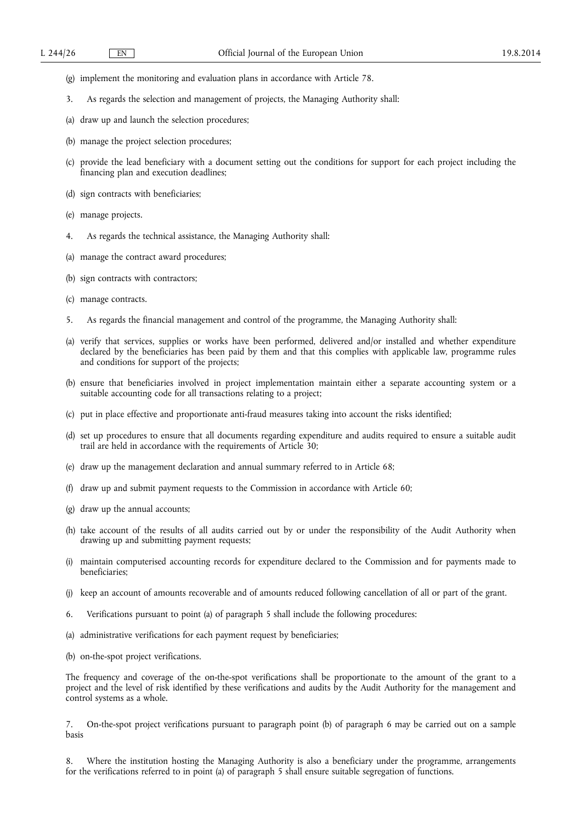- (g) implement the monitoring and evaluation plans in accordance with Article 78.
- 3. As regards the selection and management of projects, the Managing Authority shall:
- (a) draw up and launch the selection procedures;
- (b) manage the project selection procedures;
- (c) provide the lead beneficiary with a document setting out the conditions for support for each project including the financing plan and execution deadlines;
- (d) sign contracts with beneficiaries;
- (e) manage projects.
- 4. As regards the technical assistance, the Managing Authority shall:
- (a) manage the contract award procedures;
- (b) sign contracts with contractors;
- (c) manage contracts.
- 5. As regards the financial management and control of the programme, the Managing Authority shall:
- (a) verify that services, supplies or works have been performed, delivered and/or installed and whether expenditure declared by the beneficiaries has been paid by them and that this complies with applicable law, programme rules and conditions for support of the projects;
- (b) ensure that beneficiaries involved in project implementation maintain either a separate accounting system or a suitable accounting code for all transactions relating to a project;
- (c) put in place effective and proportionate anti-fraud measures taking into account the risks identified;
- (d) set up procedures to ensure that all documents regarding expenditure and audits required to ensure a suitable audit trail are held in accordance with the requirements of Article 30;
- (e) draw up the management declaration and annual summary referred to in Article 68;
- (f) draw up and submit payment requests to the Commission in accordance with Article 60;
- (g) draw up the annual accounts;
- (h) take account of the results of all audits carried out by or under the responsibility of the Audit Authority when drawing up and submitting payment requests;
- (i) maintain computerised accounting records for expenditure declared to the Commission and for payments made to beneficiaries;
- (j) keep an account of amounts recoverable and of amounts reduced following cancellation of all or part of the grant.
- 6. Verifications pursuant to point (a) of paragraph 5 shall include the following procedures:
- (a) administrative verifications for each payment request by beneficiaries;
- (b) on-the-spot project verifications.

The frequency and coverage of the on-the-spot verifications shall be proportionate to the amount of the grant to a project and the level of risk identified by these verifications and audits by the Audit Authority for the management and control systems as a whole.

7. On-the-spot project verifications pursuant to paragraph point (b) of paragraph 6 may be carried out on a sample basis

8. Where the institution hosting the Managing Authority is also a beneficiary under the programme, arrangements for the verifications referred to in point (a) of paragraph 5 shall ensure suitable segregation of functions.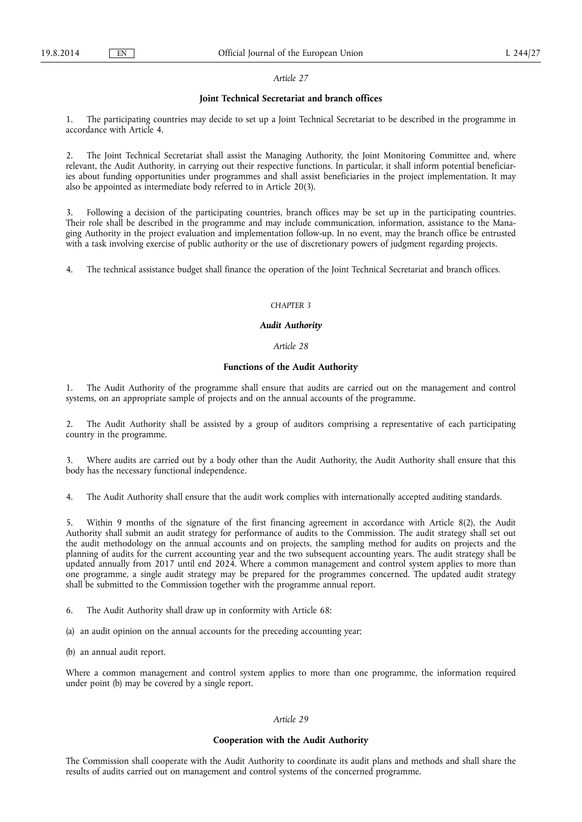### **Joint Technical Secretariat and branch offices**

1. The participating countries may decide to set up a Joint Technical Secretariat to be described in the programme in accordance with Article 4.

2. The Joint Technical Secretariat shall assist the Managing Authority, the Joint Monitoring Committee and, where relevant, the Audit Authority, in carrying out their respective functions. In particular, it shall inform potential beneficiaries about funding opportunities under programmes and shall assist beneficiaries in the project implementation. It may also be appointed as intermediate body referred to in Article 20(3).

3. Following a decision of the participating countries, branch offices may be set up in the participating countries. Their role shall be described in the programme and may include communication, information, assistance to the Managing Authority in the project evaluation and implementation follow-up. In no event, may the branch office be entrusted with a task involving exercise of public authority or the use of discretionary powers of judgment regarding projects.

4. The technical assistance budget shall finance the operation of the Joint Technical Secretariat and branch offices.

## *CHAPTER 3*

## *Audit Authority*

# *Article 28*

# **Functions of the Audit Authority**

1. The Audit Authority of the programme shall ensure that audits are carried out on the management and control systems, on an appropriate sample of projects and on the annual accounts of the programme.

2. The Audit Authority shall be assisted by a group of auditors comprising a representative of each participating country in the programme.

3. Where audits are carried out by a body other than the Audit Authority, the Audit Authority shall ensure that this body has the necessary functional independence.

4. The Audit Authority shall ensure that the audit work complies with internationally accepted auditing standards.

5. Within 9 months of the signature of the first financing agreement in accordance with Article 8(2), the Audit Authority shall submit an audit strategy for performance of audits to the Commission. The audit strategy shall set out the audit methodology on the annual accounts and on projects, the sampling method for audits on projects and the planning of audits for the current accounting year and the two subsequent accounting years. The audit strategy shall be updated annually from 2017 until end 2024. Where a common management and control system applies to more than one programme, a single audit strategy may be prepared for the programmes concerned. The updated audit strategy shall be submitted to the Commission together with the programme annual report.

6. The Audit Authority shall draw up in conformity with Article 68:

(a) an audit opinion on the annual accounts for the preceding accounting year;

(b) an annual audit report.

Where a common management and control system applies to more than one programme, the information required under point (b) may be covered by a single report.

## *Article 29*

## **Cooperation with the Audit Authority**

The Commission shall cooperate with the Audit Authority to coordinate its audit plans and methods and shall share the results of audits carried out on management and control systems of the concerned programme.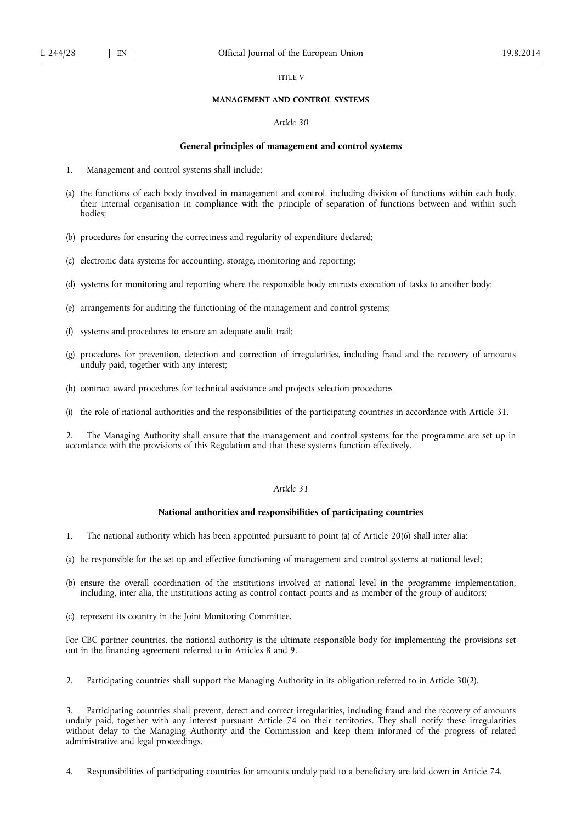#### TITLE V

## **MANAGEMENT AND CONTROL SYSTEMS**

## *Article 30*

## **General principles of management and control systems**

- 1. Management and control systems shall include:
- (a) the functions of each body involved in management and control, including division of functions within each body, their internal organisation in compliance with the principle of separation of functions between and within such bodies;
- (b) procedures for ensuring the correctness and regularity of expenditure declared;
- (c) electronic data systems for accounting, storage, monitoring and reporting;
- (d) systems for monitoring and reporting where the responsible body entrusts execution of tasks to another body;
- (e) arrangements for auditing the functioning of the management and control systems;
- (f) systems and procedures to ensure an adequate audit trail;
- (g) procedures for prevention, detection and correction of irregularities, including fraud and the recovery of amounts unduly paid, together with any interest;
- (h) contract award procedures for technical assistance and projects selection procedures
- (i) the role of national authorities and the responsibilities of the participating countries in accordance with Article 31.

2. The Managing Authority shall ensure that the management and control systems for the programme are set up in accordance with the provisions of this Regulation and that these systems function effectively.

# *Article 31*

## **National authorities and responsibilities of participating countries**

- 1. The national authority which has been appointed pursuant to point (a) of Article 20(6) shall inter alia:
- (a) be responsible for the set up and effective functioning of management and control systems at national level;
- (b) ensure the overall coordination of the institutions involved at national level in the programme implementation, including, inter alia, the institutions acting as control contact points and as member of the group of auditors;
- (c) represent its country in the Joint Monitoring Committee.

For CBC partner countries, the national authority is the ultimate responsible body for implementing the provisions set out in the financing agreement referred to in Articles 8 and 9.

2. Participating countries shall support the Managing Authority in its obligation referred to in Article 30(2).

3. Participating countries shall prevent, detect and correct irregularities, including fraud and the recovery of amounts unduly paid, together with any interest pursuant Article 74 on their territories. They shall notify these irregularities without delay to the Managing Authority and the Commission and keep them informed of the progress of related administrative and legal proceedings.

4. Responsibilities of participating countries for amounts unduly paid to a beneficiary are laid down in Article 74.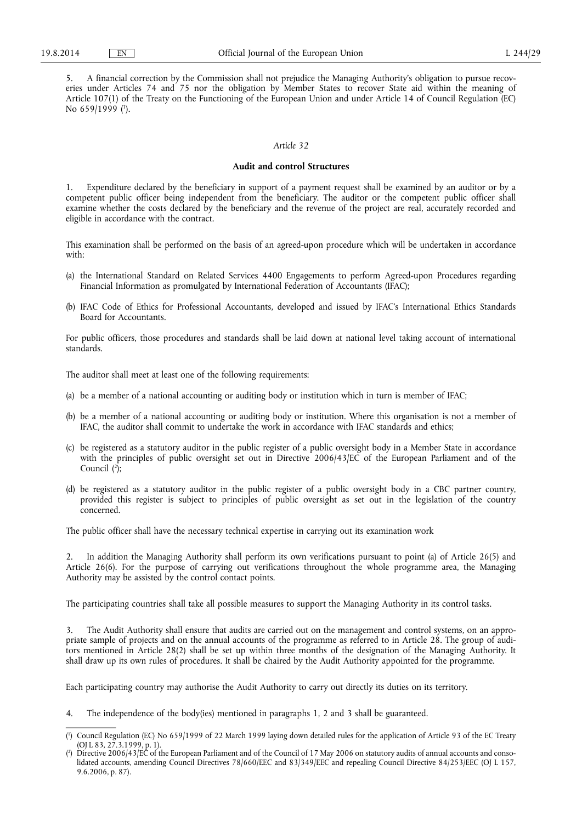5. A financial correction by the Commission shall not prejudice the Managing Authority's obligation to pursue recoveries under Articles 74 and 75 nor the obligation by Member States to recover State aid within the meaning of Article 107(1) of the Treaty on the Functioning of the European Union and under Article 14 of Council Regulation (EC) No 659/1999 ( 1 ).

## *Article 32*

### **Audit and control Structures**

1. Expenditure declared by the beneficiary in support of a payment request shall be examined by an auditor or by a competent public officer being independent from the beneficiary. The auditor or the competent public officer shall examine whether the costs declared by the beneficiary and the revenue of the project are real, accurately recorded and eligible in accordance with the contract.

This examination shall be performed on the basis of an agreed-upon procedure which will be undertaken in accordance with:

- (a) the International Standard on Related Services 4400 Engagements to perform Agreed-upon Procedures regarding Financial Information as promulgated by International Federation of Accountants (IFAC);
- (b) IFAC Code of Ethics for Professional Accountants, developed and issued by IFAC's International Ethics Standards Board for Accountants.

For public officers, those procedures and standards shall be laid down at national level taking account of international standards.

The auditor shall meet at least one of the following requirements:

- (a) be a member of a national accounting or auditing body or institution which in turn is member of IFAC;
- (b) be a member of a national accounting or auditing body or institution. Where this organisation is not a member of IFAC, the auditor shall commit to undertake the work in accordance with IFAC standards and ethics;
- (c) be registered as a statutory auditor in the public register of a public oversight body in a Member State in accordance with the principles of public oversight set out in Directive 2006/43/EC of the European Parliament and of the Council ( 2 );
- (d) be registered as a statutory auditor in the public register of a public oversight body in a CBC partner country, provided this register is subject to principles of public oversight as set out in the legislation of the country concerned.

The public officer shall have the necessary technical expertise in carrying out its examination work

2. In addition the Managing Authority shall perform its own verifications pursuant to point (a) of Article 26(5) and Article 26(6). For the purpose of carrying out verifications throughout the whole programme area, the Managing Authority may be assisted by the control contact points.

The participating countries shall take all possible measures to support the Managing Authority in its control tasks.

3. The Audit Authority shall ensure that audits are carried out on the management and control systems, on an appropriate sample of projects and on the annual accounts of the programme as referred to in Article 28. The group of auditors mentioned in Article 28(2) shall be set up within three months of the designation of the Managing Authority. It shall draw up its own rules of procedures. It shall be chaired by the Audit Authority appointed for the programme.

Each participating country may authorise the Audit Authority to carry out directly its duties on its territory.

4. The independence of the body(ies) mentioned in paragraphs 1, 2 and 3 shall be guaranteed.

<sup>(</sup> 1 ) Council Regulation (EC) No 659/1999 of 22 March 1999 laying down detailed rules for the application of Article 93 of the EC Treaty  $(OJ L 83, 27.3.1999, p. 1).$ 

<sup>(</sup> 2 ) Directive 2006/43/EC of the European Parliament and of the Council of 17 May 2006 on statutory audits of annual accounts and consolidated accounts, amending Council Directives 78/660/EEC and 83/349/EEC and repealing Council Directive 84/253/EEC (OJ L 157, 9.6.2006, p. 87).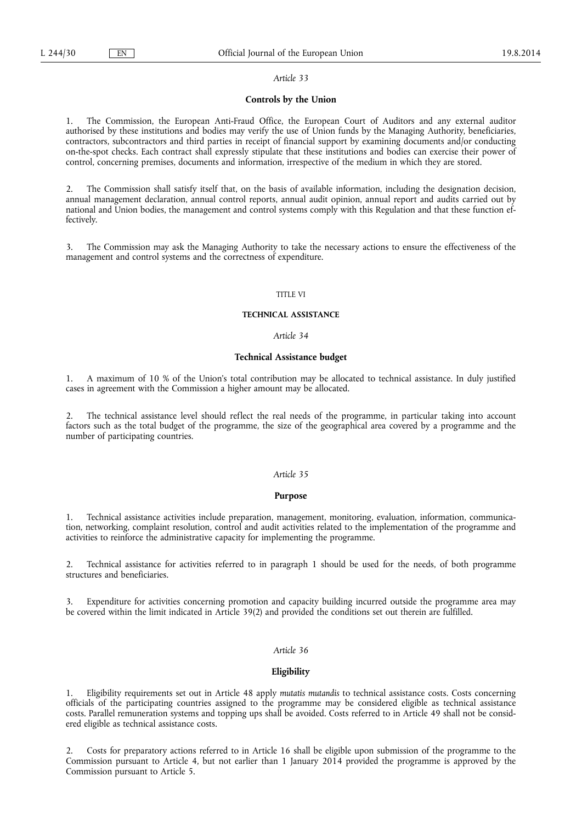## **Controls by the Union**

1. The Commission, the European Anti-Fraud Office, the European Court of Auditors and any external auditor authorised by these institutions and bodies may verify the use of Union funds by the Managing Authority, beneficiaries, contractors, subcontractors and third parties in receipt of financial support by examining documents and/or conducting on-the-spot checks. Each contract shall expressly stipulate that these institutions and bodies can exercise their power of control, concerning premises, documents and information, irrespective of the medium in which they are stored.

2. The Commission shall satisfy itself that, on the basis of available information, including the designation decision, annual management declaration, annual control reports, annual audit opinion, annual report and audits carried out by national and Union bodies, the management and control systems comply with this Regulation and that these function effectively.

3. The Commission may ask the Managing Authority to take the necessary actions to ensure the effectiveness of the management and control systems and the correctness of expenditure.

# TITLE VI

## **TECHNICAL ASSISTANCE**

# *Article 34*

# **Technical Assistance budget**

1. A maximum of 10 % of the Union's total contribution may be allocated to technical assistance. In duly justified cases in agreement with the Commission a higher amount may be allocated.

2. The technical assistance level should reflect the real needs of the programme, in particular taking into account factors such as the total budget of the programme, the size of the geographical area covered by a programme and the number of participating countries.

## *Article 35*

## **Purpose**

1. Technical assistance activities include preparation, management, monitoring, evaluation, information, communication, networking, complaint resolution, control and audit activities related to the implementation of the programme and activities to reinforce the administrative capacity for implementing the programme.

2. Technical assistance for activities referred to in paragraph 1 should be used for the needs, of both programme structures and beneficiaries.

Expenditure for activities concerning promotion and capacity building incurred outside the programme area may be covered within the limit indicated in Article 39(2) and provided the conditions set out therein are fulfilled.

### *Article 36*

## **Eligibility**

1. Eligibility requirements set out in Article 48 apply *mutatis mutandis* to technical assistance costs. Costs concerning officials of the participating countries assigned to the programme may be considered eligible as technical assistance costs. Parallel remuneration systems and topping ups shall be avoided. Costs referred to in Article 49 shall not be considered eligible as technical assistance costs.

2. Costs for preparatory actions referred to in Article 16 shall be eligible upon submission of the programme to the Commission pursuant to Article 4, but not earlier than 1 January 2014 provided the programme is approved by the Commission pursuant to Article 5.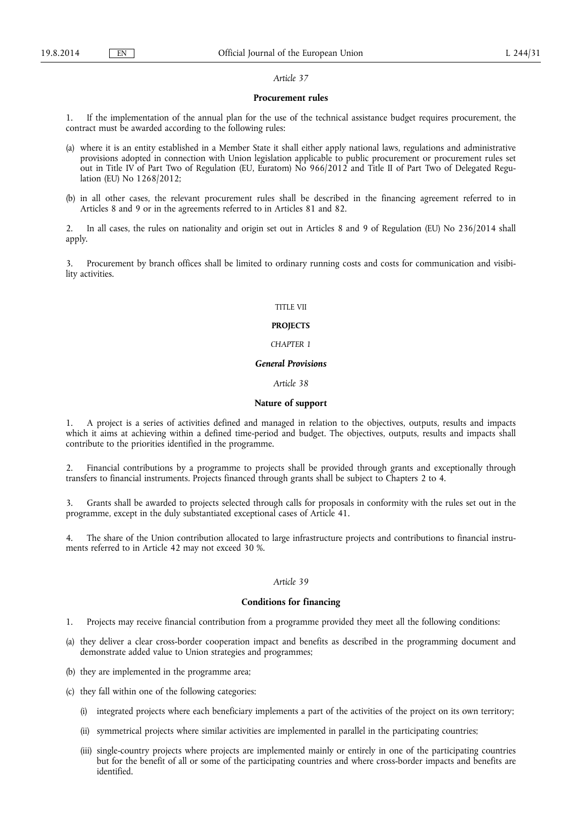#### **Procurement rules**

1. If the implementation of the annual plan for the use of the technical assistance budget requires procurement, the contract must be awarded according to the following rules:

- (a) where it is an entity established in a Member State it shall either apply national laws, regulations and administrative provisions adopted in connection with Union legislation applicable to public procurement or procurement rules set out in Title IV of Part Two of Regulation (EU, Euratom) No 966/2012 and Title II of Part Two of Delegated Regulation (EU) No 1268/2012;
- (b) in all other cases, the relevant procurement rules shall be described in the financing agreement referred to in Articles 8 and 9 or in the agreements referred to in Articles 81 and 82.

2. In all cases, the rules on nationality and origin set out in Articles 8 and 9 of Regulation (EU) No 236/2014 shall apply.

3. Procurement by branch offices shall be limited to ordinary running costs and costs for communication and visibility activities.

#### TITLE VII

## **PROJECTS**

### *CHAPTER 1*

#### *General Provisions*

### *Article 38*

## **Nature of support**

1. A project is a series of activities defined and managed in relation to the objectives, outputs, results and impacts which it aims at achieving within a defined time-period and budget. The objectives, outputs, results and impacts shall contribute to the priorities identified in the programme.

2. Financial contributions by a programme to projects shall be provided through grants and exceptionally through transfers to financial instruments. Projects financed through grants shall be subject to Chapters 2 to 4.

3. Grants shall be awarded to projects selected through calls for proposals in conformity with the rules set out in the programme, except in the duly substantiated exceptional cases of Article 41.

4. The share of the Union contribution allocated to large infrastructure projects and contributions to financial instruments referred to in Article 42 may not exceed 30 %.

# *Article 39*

# **Conditions for financing**

- 1. Projects may receive financial contribution from a programme provided they meet all the following conditions:
- (a) they deliver a clear cross-border cooperation impact and benefits as described in the programming document and demonstrate added value to Union strategies and programmes;
- (b) they are implemented in the programme area;
- (c) they fall within one of the following categories:
	- (i) integrated projects where each beneficiary implements a part of the activities of the project on its own territory;
	- (ii) symmetrical projects where similar activities are implemented in parallel in the participating countries;
	- (iii) single-country projects where projects are implemented mainly or entirely in one of the participating countries but for the benefit of all or some of the participating countries and where cross-border impacts and benefits are identified.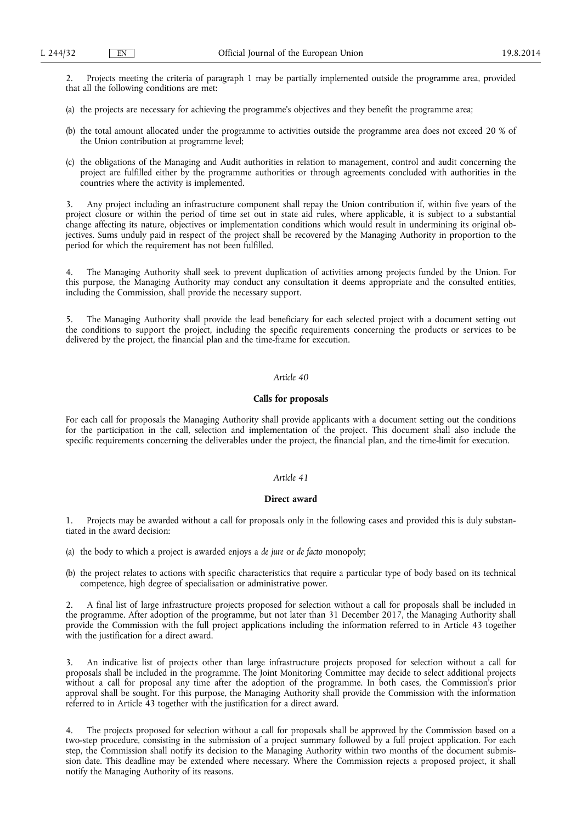2. Projects meeting the criteria of paragraph 1 may be partially implemented outside the programme area, provided that all the following conditions are met:

- (a) the projects are necessary for achieving the programme's objectives and they benefit the programme area;
- (b) the total amount allocated under the programme to activities outside the programme area does not exceed 20 % of the Union contribution at programme level;
- (c) the obligations of the Managing and Audit authorities in relation to management, control and audit concerning the project are fulfilled either by the programme authorities or through agreements concluded with authorities in the countries where the activity is implemented.

3. Any project including an infrastructure component shall repay the Union contribution if, within five years of the project closure or within the period of time set out in state aid rules, where applicable, it is subject to a substantial change affecting its nature, objectives or implementation conditions which would result in undermining its original objectives. Sums unduly paid in respect of the project shall be recovered by the Managing Authority in proportion to the period for which the requirement has not been fulfilled.

4. The Managing Authority shall seek to prevent duplication of activities among projects funded by the Union. For this purpose, the Managing Authority may conduct any consultation it deems appropriate and the consulted entities, including the Commission, shall provide the necessary support.

5. The Managing Authority shall provide the lead beneficiary for each selected project with a document setting out the conditions to support the project, including the specific requirements concerning the products or services to be delivered by the project, the financial plan and the time-frame for execution.

## *Article 40*

## **Calls for proposals**

For each call for proposals the Managing Authority shall provide applicants with a document setting out the conditions for the participation in the call, selection and implementation of the project. This document shall also include the specific requirements concerning the deliverables under the project, the financial plan, and the time-limit for execution.

## *Article 41*

### **Direct award**

1. Projects may be awarded without a call for proposals only in the following cases and provided this is duly substantiated in the award decision:

- (a) the body to which a project is awarded enjoys a *de jure* or *de facto* monopoly;
- (b) the project relates to actions with specific characteristics that require a particular type of body based on its technical competence, high degree of specialisation or administrative power.

2. A final list of large infrastructure projects proposed for selection without a call for proposals shall be included in the programme. After adoption of the programme, but not later than 31 December 2017, the Managing Authority shall provide the Commission with the full project applications including the information referred to in Article 43 together with the justification for a direct award.

3. An indicative list of projects other than large infrastructure projects proposed for selection without a call for proposals shall be included in the programme. The Joint Monitoring Committee may decide to select additional projects without a call for proposal any time after the adoption of the programme. In both cases, the Commission's prior approval shall be sought. For this purpose, the Managing Authority shall provide the Commission with the information referred to in Article 43 together with the justification for a direct award.

4. The projects proposed for selection without a call for proposals shall be approved by the Commission based on a two-step procedure, consisting in the submission of a project summary followed by a full project application. For each step, the Commission shall notify its decision to the Managing Authority within two months of the document submission date. This deadline may be extended where necessary. Where the Commission rejects a proposed project, it shall notify the Managing Authority of its reasons.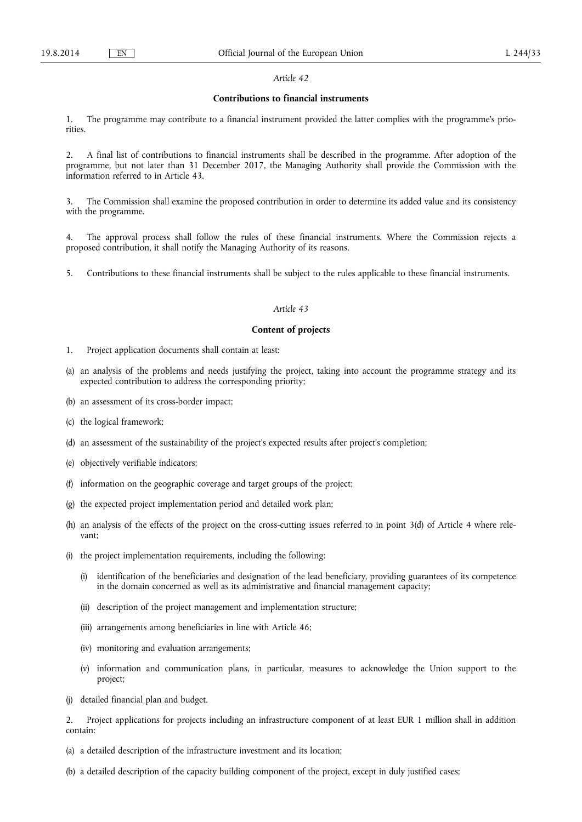### **Contributions to financial instruments**

1. The programme may contribute to a financial instrument provided the latter complies with the programme's priorities.

2. A final list of contributions to financial instruments shall be described in the programme. After adoption of the programme, but not later than 31 December 2017, the Managing Authority shall provide the Commission with the information referred to in Article 43.

The Commission shall examine the proposed contribution in order to determine its added value and its consistency with the programme.

4. The approval process shall follow the rules of these financial instruments. Where the Commission rejects a proposed contribution, it shall notify the Managing Authority of its reasons.

5. Contributions to these financial instruments shall be subject to the rules applicable to these financial instruments.

## *Article 43*

## **Content of projects**

- 1. Project application documents shall contain at least:
- (a) an analysis of the problems and needs justifying the project, taking into account the programme strategy and its expected contribution to address the corresponding priority;
- (b) an assessment of its cross-border impact;
- (c) the logical framework;
- (d) an assessment of the sustainability of the project's expected results after project's completion;
- (e) objectively verifiable indicators;
- (f) information on the geographic coverage and target groups of the project;
- (g) the expected project implementation period and detailed work plan;
- (h) an analysis of the effects of the project on the cross-cutting issues referred to in point 3(d) of Article 4 where relevant;
- (i) the project implementation requirements, including the following:
	- (i) identification of the beneficiaries and designation of the lead beneficiary, providing guarantees of its competence in the domain concerned as well as its administrative and financial management capacity;
	- (ii) description of the project management and implementation structure;
	- (iii) arrangements among beneficiaries in line with Article 46;
	- (iv) monitoring and evaluation arrangements;
	- (v) information and communication plans, in particular, measures to acknowledge the Union support to the project;
- (j) detailed financial plan and budget.
- 2. Project applications for projects including an infrastructure component of at least EUR 1 million shall in addition contain:
- (a) a detailed description of the infrastructure investment and its location;
- (b) a detailed description of the capacity building component of the project, except in duly justified cases;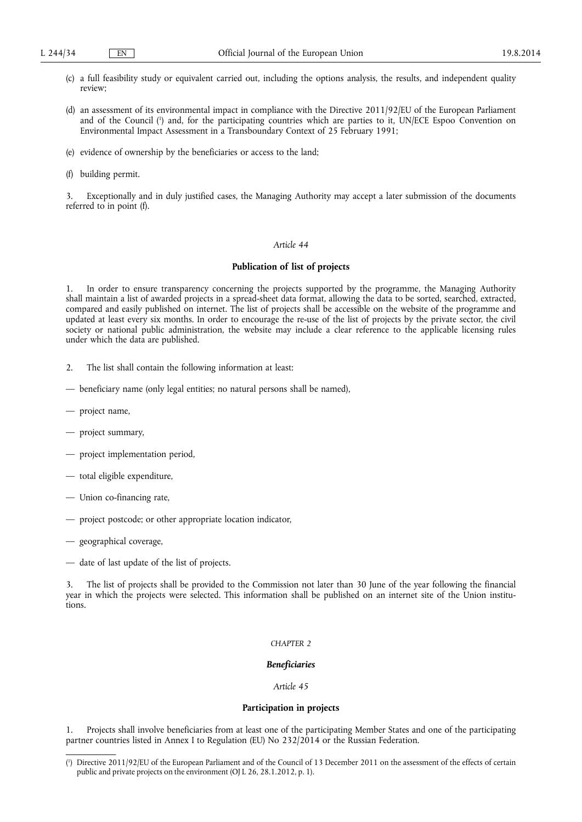- (c) a full feasibility study or equivalent carried out, including the options analysis, the results, and independent quality review;
- (d) an assessment of its environmental impact in compliance with the Directive 2011/92/EU of the European Parliament and of the Council ( 1 ) and, for the participating countries which are parties to it, UN/ECE Espoo Convention on Environmental Impact Assessment in a Transboundary Context of 25 February 1991;
- (e) evidence of ownership by the beneficiaries or access to the land;
- (f) building permit.

Exceptionally and in duly justified cases, the Managing Authority may accept a later submission of the documents referred to in point (f).

# *Article 44*

## **Publication of list of projects**

1. In order to ensure transparency concerning the projects supported by the programme, the Managing Authority shall maintain a list of awarded projects in a spread-sheet data format, allowing the data to be sorted, searched, extracted, compared and easily published on internet. The list of projects shall be accessible on the website of the programme and updated at least every six months. In order to encourage the re-use of the list of projects by the private sector, the civil society or national public administration, the website may include a clear reference to the applicable licensing rules under which the data are published.

- 2. The list shall contain the following information at least:
- beneficiary name (only legal entities; no natural persons shall be named),
- project name,
- project summary,
- project implementation period,
- total eligible expenditure,
- Union co-financing rate,
- project postcode; or other appropriate location indicator,
- geographical coverage,
- date of last update of the list of projects.

The list of projects shall be provided to the Commission not later than 30 June of the year following the financial year in which the projects were selected. This information shall be published on an internet site of the Union institutions.

#### *CHAPTER 2*

### *Beneficiaries*

### *Article 45*

## **Participation in projects**

1. Projects shall involve beneficiaries from at least one of the participating Member States and one of the participating partner countries listed in Annex I to Regulation (EU) No 232/2014 or the Russian Federation.

<sup>(</sup> 1 ) Directive 2011/92/EU of the European Parliament and of the Council of 13 December 2011 on the assessment of the effects of certain public and private projects on the environment (OJ L 26, 28.1.2012, p. 1).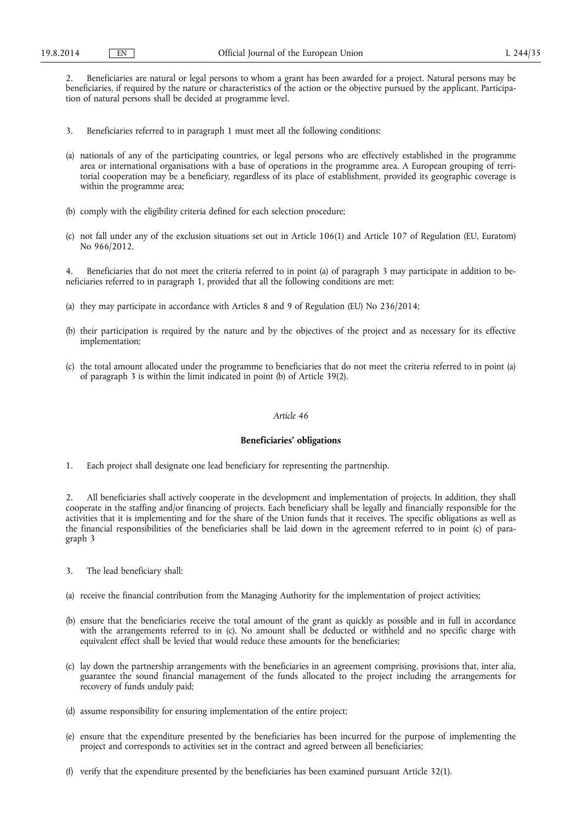2. Beneficiaries are natural or legal persons to whom a grant has been awarded for a project. Natural persons may be beneficiaries, if required by the nature or characteristics of the action or the objective pursued by the applicant. Participation of natural persons shall be decided at programme level.

- 3. Beneficiaries referred to in paragraph 1 must meet all the following conditions:
- (a) nationals of any of the participating countries, or legal persons who are effectively established in the programme area or international organisations with a base of operations in the programme area. A European grouping of territorial cooperation may be a beneficiary, regardless of its place of establishment, provided its geographic coverage is within the programme area;
- (b) comply with the eligibility criteria defined for each selection procedure;
- (c) not fall under any of the exclusion situations set out in Article 106(1) and Article 107 of Regulation (EU, Euratom) No 966/2012.

4. Beneficiaries that do not meet the criteria referred to in point (a) of paragraph 3 may participate in addition to beneficiaries referred to in paragraph 1, provided that all the following conditions are met:

- (a) they may participate in accordance with Articles 8 and 9 of Regulation (EU) No 236/2014;
- (b) their participation is required by the nature and by the objectives of the project and as necessary for its effective implementation;
- (c) the total amount allocated under the programme to beneficiaries that do not meet the criteria referred to in point (a) of paragraph 3 is within the limit indicated in point (b) of Article 39(2).

## *Article 46*

## **Beneficiaries' obligations**

1. Each project shall designate one lead beneficiary for representing the partnership.

2. All beneficiaries shall actively cooperate in the development and implementation of projects. In addition, they shall cooperate in the staffing and/or financing of projects. Each beneficiary shall be legally and financially responsible for the activities that it is implementing and for the share of the Union funds that it receives. The specific obligations as well as the financial responsibilities of the beneficiaries shall be laid down in the agreement referred to in point (c) of paragraph 3

- 3. The lead beneficiary shall:
- (a) receive the financial contribution from the Managing Authority for the implementation of project activities;
- (b) ensure that the beneficiaries receive the total amount of the grant as quickly as possible and in full in accordance with the arrangements referred to in (c). No amount shall be deducted or withheld and no specific charge with equivalent effect shall be levied that would reduce these amounts for the beneficiaries;
- (c) lay down the partnership arrangements with the beneficiaries in an agreement comprising, provisions that, inter alia, guarantee the sound financial management of the funds allocated to the project including the arrangements for recovery of funds unduly paid;
- (d) assume responsibility for ensuring implementation of the entire project;
- (e) ensure that the expenditure presented by the beneficiaries has been incurred for the purpose of implementing the project and corresponds to activities set in the contract and agreed between all beneficiaries;
- (f) verify that the expenditure presented by the beneficiaries has been examined pursuant Article 32(1).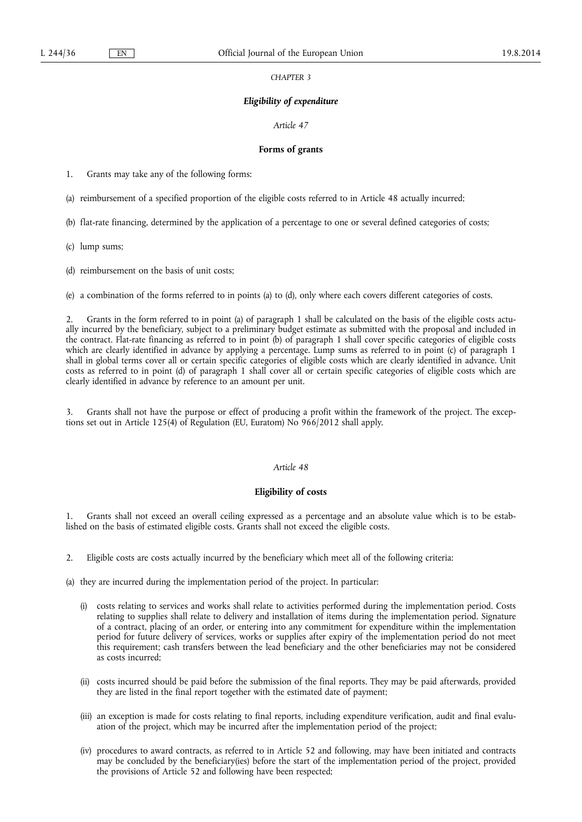#### *CHAPTER 3*

## *Eligibility of expenditure*

### *Article 47*

### **Forms of grants**

1. Grants may take any of the following forms:

(a) reimbursement of a specified proportion of the eligible costs referred to in Article 48 actually incurred;

(b) flat-rate financing, determined by the application of a percentage to one or several defined categories of costs;

(c) lump sums;

(d) reimbursement on the basis of unit costs;

(e) a combination of the forms referred to in points (a) to (d), only where each covers different categories of costs.

2. Grants in the form referred to in point (a) of paragraph 1 shall be calculated on the basis of the eligible costs actually incurred by the beneficiary, subject to a preliminary budget estimate as submitted with the proposal and included in the contract. Flat-rate financing as referred to in point (b) of paragraph 1 shall cover specific categories of eligible costs which are clearly identified in advance by applying a percentage. Lump sums as referred to in point (c) of paragraph 1 shall in global terms cover all or certain specific categories of eligible costs which are clearly identified in advance. Unit costs as referred to in point (d) of paragraph 1 shall cover all or certain specific categories of eligible costs which are clearly identified in advance by reference to an amount per unit.

3. Grants shall not have the purpose or effect of producing a profit within the framework of the project. The exceptions set out in Article 125(4) of Regulation (EU, Euratom) No 966/2012 shall apply.

# *Article 48*

## **Eligibility of costs**

1. Grants shall not exceed an overall ceiling expressed as a percentage and an absolute value which is to be established on the basis of estimated eligible costs. Grants shall not exceed the eligible costs.

2. Eligible costs are costs actually incurred by the beneficiary which meet all of the following criteria:

(a) they are incurred during the implementation period of the project. In particular:

- (i) costs relating to services and works shall relate to activities performed during the implementation period. Costs relating to supplies shall relate to delivery and installation of items during the implementation period. Signature of a contract, placing of an order, or entering into any commitment for expenditure within the implementation period for future delivery of services, works or supplies after expiry of the implementation period do not meet this requirement; cash transfers between the lead beneficiary and the other beneficiaries may not be considered as costs incurred;
- (ii) costs incurred should be paid before the submission of the final reports. They may be paid afterwards, provided they are listed in the final report together with the estimated date of payment;
- (iii) an exception is made for costs relating to final reports, including expenditure verification, audit and final evaluation of the project, which may be incurred after the implementation period of the project;
- (iv) procedures to award contracts, as referred to in Article 52 and following, may have been initiated and contracts may be concluded by the beneficiary(ies) before the start of the implementation period of the project, provided the provisions of Article 52 and following have been respected;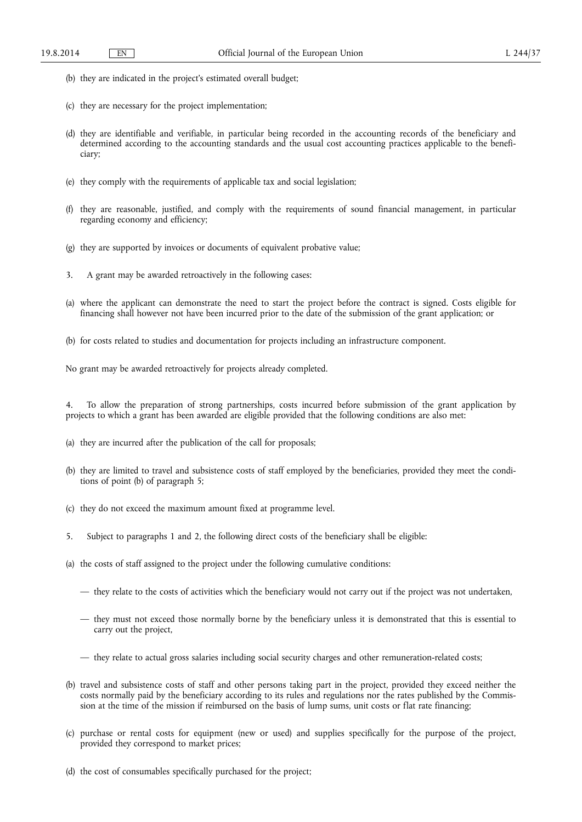- (b) they are indicated in the project's estimated overall budget;
- (c) they are necessary for the project implementation;
- (d) they are identifiable and verifiable, in particular being recorded in the accounting records of the beneficiary and determined according to the accounting standards and the usual cost accounting practices applicable to the beneficiary;
- (e) they comply with the requirements of applicable tax and social legislation;
- (f) they are reasonable, justified, and comply with the requirements of sound financial management, in particular regarding economy and efficiency;
- (g) they are supported by invoices or documents of equivalent probative value;
- 3. A grant may be awarded retroactively in the following cases:
- (a) where the applicant can demonstrate the need to start the project before the contract is signed. Costs eligible for financing shall however not have been incurred prior to the date of the submission of the grant application; or
- (b) for costs related to studies and documentation for projects including an infrastructure component.

No grant may be awarded retroactively for projects already completed.

4. To allow the preparation of strong partnerships, costs incurred before submission of the grant application by projects to which a grant has been awarded are eligible provided that the following conditions are also met:

- (a) they are incurred after the publication of the call for proposals;
- (b) they are limited to travel and subsistence costs of staff employed by the beneficiaries, provided they meet the conditions of point (b) of paragraph 5;
- (c) they do not exceed the maximum amount fixed at programme level.
- 5. Subject to paragraphs 1 and 2, the following direct costs of the beneficiary shall be eligible:
- (a) the costs of staff assigned to the project under the following cumulative conditions:
	- they relate to the costs of activities which the beneficiary would not carry out if the project was not undertaken,
	- they must not exceed those normally borne by the beneficiary unless it is demonstrated that this is essential to carry out the project,
	- they relate to actual gross salaries including social security charges and other remuneration-related costs;
- (b) travel and subsistence costs of staff and other persons taking part in the project, provided they exceed neither the costs normally paid by the beneficiary according to its rules and regulations nor the rates published by the Commission at the time of the mission if reimbursed on the basis of lump sums, unit costs or flat rate financing;
- (c) purchase or rental costs for equipment (new or used) and supplies specifically for the purpose of the project, provided they correspond to market prices;
- (d) the cost of consumables specifically purchased for the project;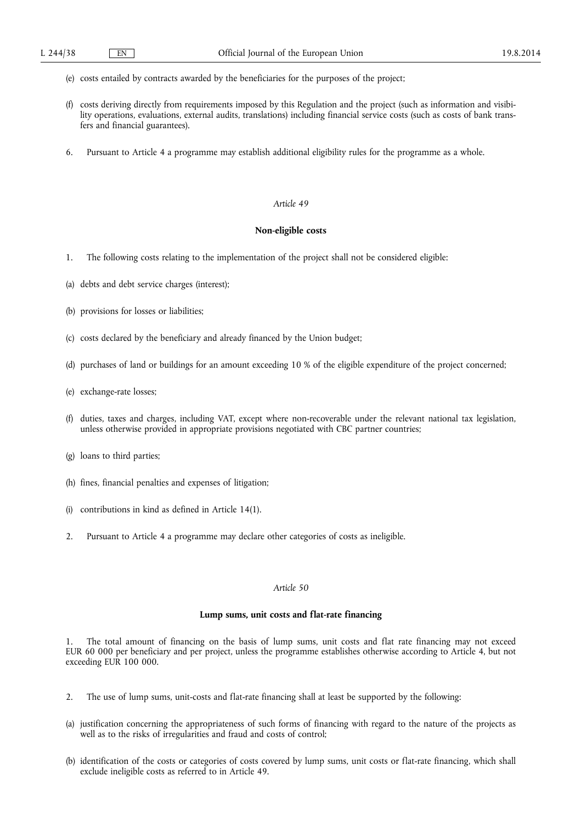- (e) costs entailed by contracts awarded by the beneficiaries for the purposes of the project;
- (f) costs deriving directly from requirements imposed by this Regulation and the project (such as information and visibility operations, evaluations, external audits, translations) including financial service costs (such as costs of bank transfers and financial guarantees).
- 6. Pursuant to Article 4 a programme may establish additional eligibility rules for the programme as a whole.

# **Non-eligible costs**

- 1. The following costs relating to the implementation of the project shall not be considered eligible:
- (a) debts and debt service charges (interest);
- (b) provisions for losses or liabilities;
- (c) costs declared by the beneficiary and already financed by the Union budget;
- (d) purchases of land or buildings for an amount exceeding 10 % of the eligible expenditure of the project concerned;
- (e) exchange-rate losses;
- (f) duties, taxes and charges, including VAT, except where non-recoverable under the relevant national tax legislation, unless otherwise provided in appropriate provisions negotiated with CBC partner countries;
- (g) loans to third parties;
- (h) fines, financial penalties and expenses of litigation;
- (i) contributions in kind as defined in Article 14(1).
- 2. Pursuant to Article 4 a programme may declare other categories of costs as ineligible.

# *Article 50*

## **Lump sums, unit costs and flat-rate financing**

1. The total amount of financing on the basis of lump sums, unit costs and flat rate financing may not exceed EUR 60 000 per beneficiary and per project, unless the programme establishes otherwise according to Article 4, but not exceeding EUR 100 000.

- 2. The use of lump sums, unit-costs and flat-rate financing shall at least be supported by the following:
- (a) justification concerning the appropriateness of such forms of financing with regard to the nature of the projects as well as to the risks of irregularities and fraud and costs of control;
- (b) identification of the costs or categories of costs covered by lump sums, unit costs or flat-rate financing, which shall exclude ineligible costs as referred to in Article 49.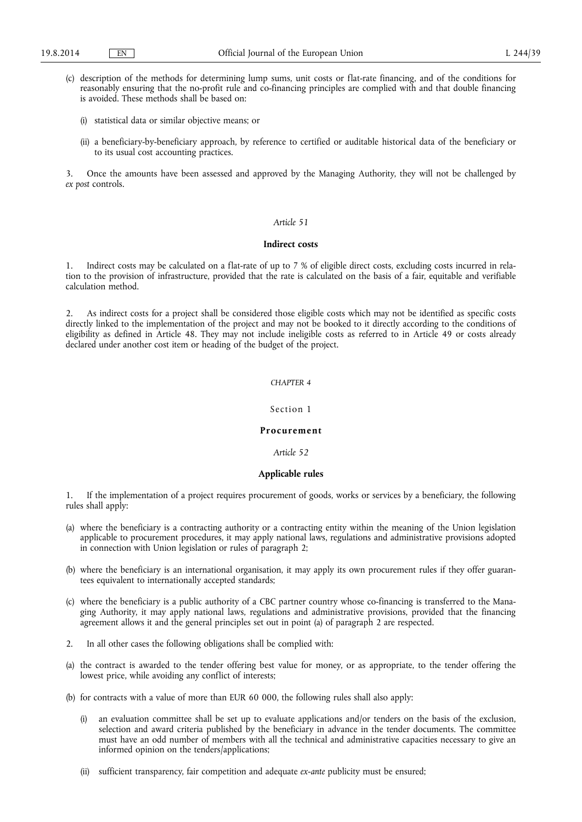- (c) description of the methods for determining lump sums, unit costs or flat-rate financing, and of the conditions for reasonably ensuring that the no-profit rule and co-financing principles are complied with and that double financing is avoided. These methods shall be based on:
	- (i) statistical data or similar objective means; or
	- (ii) a beneficiary-by-beneficiary approach, by reference to certified or auditable historical data of the beneficiary or to its usual cost accounting practices.

3. Once the amounts have been assessed and approved by the Managing Authority, they will not be challenged by *ex post* controls.

# *Article 51*

#### **Indirect costs**

1. Indirect costs may be calculated on a flat-rate of up to 7 % of eligible direct costs, excluding costs incurred in relation to the provision of infrastructure, provided that the rate is calculated on the basis of a fair, equitable and verifiable calculation method.

2. As indirect costs for a project shall be considered those eligible costs which may not be identified as specific costs directly linked to the implementation of the project and may not be booked to it directly according to the conditions of eligibility as defined in Article 48. They may not include ineligible costs as referred to in Article 49 or costs already declared under another cost item or heading of the budget of the project.

# *CHAPTER 4*

### Section 1

## **Procurement**

*Article 52* 

## **Applicable rules**

1. If the implementation of a project requires procurement of goods, works or services by a beneficiary, the following rules shall apply:

- (a) where the beneficiary is a contracting authority or a contracting entity within the meaning of the Union legislation applicable to procurement procedures, it may apply national laws, regulations and administrative provisions adopted in connection with Union legislation or rules of paragraph 2;
- (b) where the beneficiary is an international organisation, it may apply its own procurement rules if they offer guarantees equivalent to internationally accepted standards;
- (c) where the beneficiary is a public authority of a CBC partner country whose co-financing is transferred to the Managing Authority, it may apply national laws, regulations and administrative provisions, provided that the financing agreement allows it and the general principles set out in point (a) of paragraph 2 are respected.
- 2. In all other cases the following obligations shall be complied with:
- (a) the contract is awarded to the tender offering best value for money, or as appropriate, to the tender offering the lowest price, while avoiding any conflict of interests;
- (b) for contracts with a value of more than EUR 60 000, the following rules shall also apply:
	- an evaluation committee shall be set up to evaluate applications and/or tenders on the basis of the exclusion, selection and award criteria published by the beneficiary in advance in the tender documents. The committee must have an odd number of members with all the technical and administrative capacities necessary to give an informed opinion on the tenders/applications;
	- (ii) sufficient transparency, fair competition and adequate *ex-ante* publicity must be ensured;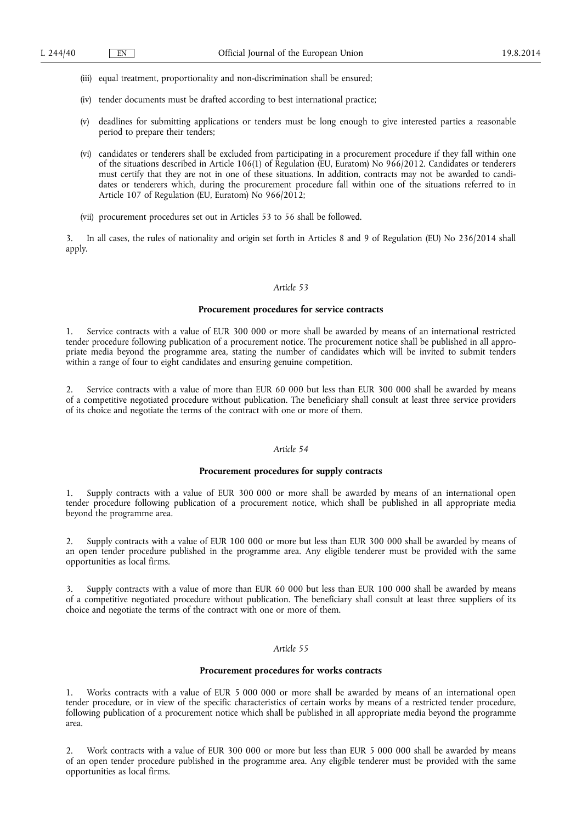- (iii) equal treatment, proportionality and non-discrimination shall be ensured;
- (iv) tender documents must be drafted according to best international practice;
- (v) deadlines for submitting applications or tenders must be long enough to give interested parties a reasonable period to prepare their tenders;
- (vi) candidates or tenderers shall be excluded from participating in a procurement procedure if they fall within one of the situations described in Article 106(1) of Regulation (EU, Euratom) No 966/2012. Candidates or tenderers must certify that they are not in one of these situations. In addition, contracts may not be awarded to candidates or tenderers which, during the procurement procedure fall within one of the situations referred to in Article 107 of Regulation (EU, Euratom) No 966/2012;
- (vii) procurement procedures set out in Articles 53 to 56 shall be followed.

3. In all cases, the rules of nationality and origin set forth in Articles 8 and 9 of Regulation (EU) No 236/2014 shall apply.

#### *Article 53*

# **Procurement procedures for service contracts**

Service contracts with a value of EUR 300 000 or more shall be awarded by means of an international restricted tender procedure following publication of a procurement notice. The procurement notice shall be published in all appropriate media beyond the programme area, stating the number of candidates which will be invited to submit tenders within a range of four to eight candidates and ensuring genuine competition.

2. Service contracts with a value of more than EUR 60 000 but less than EUR 300 000 shall be awarded by means of a competitive negotiated procedure without publication. The beneficiary shall consult at least three service providers of its choice and negotiate the terms of the contract with one or more of them.

## *Article 54*

### **Procurement procedures for supply contracts**

1. Supply contracts with a value of EUR 300 000 or more shall be awarded by means of an international open tender procedure following publication of a procurement notice, which shall be published in all appropriate media beyond the programme area.

2. Supply contracts with a value of EUR 100 000 or more but less than EUR 300 000 shall be awarded by means of an open tender procedure published in the programme area. Any eligible tenderer must be provided with the same opportunities as local firms.

3. Supply contracts with a value of more than EUR 60 000 but less than EUR 100 000 shall be awarded by means of a competitive negotiated procedure without publication. The beneficiary shall consult at least three suppliers of its choice and negotiate the terms of the contract with one or more of them.

## *Article 55*

### **Procurement procedures for works contracts**

1. Works contracts with a value of EUR 5 000 000 or more shall be awarded by means of an international open tender procedure, or in view of the specific characteristics of certain works by means of a restricted tender procedure, following publication of a procurement notice which shall be published in all appropriate media beyond the programme area.

2. Work contracts with a value of EUR 300 000 or more but less than EUR 5 000 000 shall be awarded by means of an open tender procedure published in the programme area. Any eligible tenderer must be provided with the same opportunities as local firms.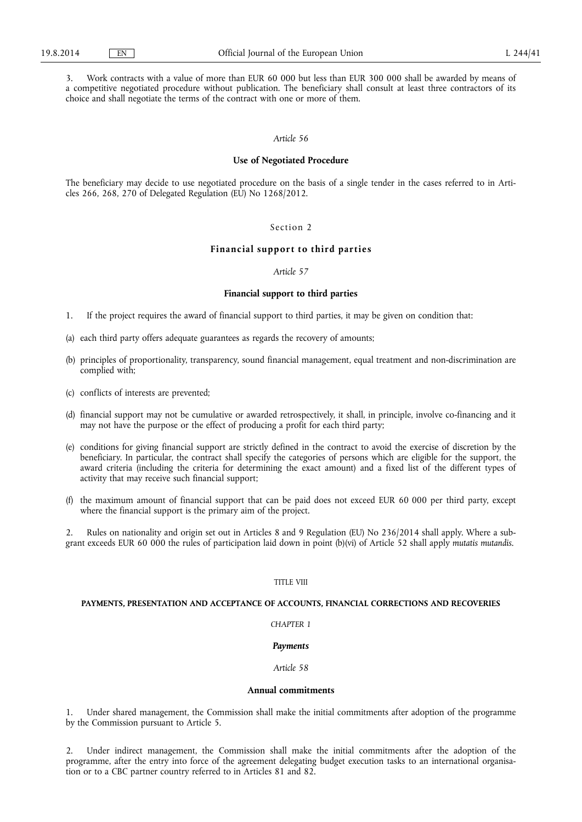3. Work contracts with a value of more than EUR 60 000 but less than EUR 300 000 shall be awarded by means of a competitive negotiated procedure without publication. The beneficiary shall consult at least three contractors of its choice and shall negotiate the terms of the contract with one or more of them.

# *Article 56*

### **Use of Negotiated Procedure**

The beneficiary may decide to use negotiated procedure on the basis of a single tender in the cases referred to in Articles 266, 268, 270 of Delegated Regulation (EU) No 1268/2012.

#### Section 2

### **Financial support to third parties**

## *Article 57*

## **Financial support to third parties**

- 1. If the project requires the award of financial support to third parties, it may be given on condition that:
- (a) each third party offers adequate guarantees as regards the recovery of amounts;
- (b) principles of proportionality, transparency, sound financial management, equal treatment and non-discrimination are complied with;
- (c) conflicts of interests are prevented;
- (d) financial support may not be cumulative or awarded retrospectively, it shall, in principle, involve co-financing and it may not have the purpose or the effect of producing a profit for each third party;
- (e) conditions for giving financial support are strictly defined in the contract to avoid the exercise of discretion by the beneficiary. In particular, the contract shall specify the categories of persons which are eligible for the support, the award criteria (including the criteria for determining the exact amount) and a fixed list of the different types of activity that may receive such financial support;
- (f) the maximum amount of financial support that can be paid does not exceed EUR 60 000 per third party, except where the financial support is the primary aim of the project.

2. Rules on nationality and origin set out in Articles 8 and 9 Regulation (EU) No 236/2014 shall apply. Where a subgrant exceeds EUR 60 000 the rules of participation laid down in point (b)(vi) of Article 52 shall apply *mutatis mutandis*.

# TITLE VIII

## **PAYMENTS, PRESENTATION AND ACCEPTANCE OF ACCOUNTS, FINANCIAL CORRECTIONS AND RECOVERIES**

### *CHAPTER 1*

### *Payments*

# *Article 58*

### **Annual commitments**

1. Under shared management, the Commission shall make the initial commitments after adoption of the programme by the Commission pursuant to Article 5.

2. Under indirect management, the Commission shall make the initial commitments after the adoption of the programme, after the entry into force of the agreement delegating budget execution tasks to an international organisation or to a CBC partner country referred to in Articles 81 and 82.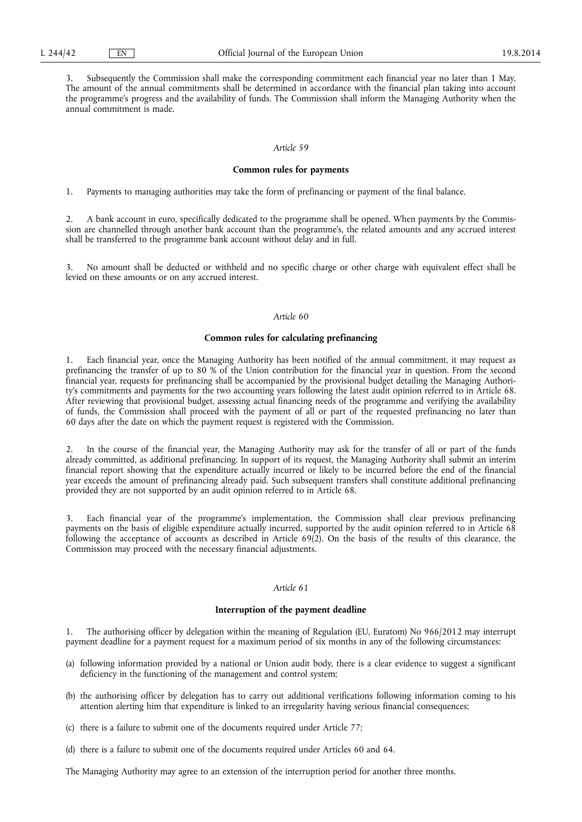3. Subsequently the Commission shall make the corresponding commitment each financial year no later than 1 May. The amount of the annual commitments shall be determined in accordance with the financial plan taking into account the programme's progress and the availability of funds. The Commission shall inform the Managing Authority when the annual commitment is made.

### *Article 59*

## **Common rules for payments**

1. Payments to managing authorities may take the form of prefinancing or payment of the final balance.

2. A bank account in euro, specifically dedicated to the programme shall be opened. When payments by the Commission are channelled through another bank account than the programme's, the related amounts and any accrued interest shall be transferred to the programme bank account without delay and in full.

3. No amount shall be deducted or withheld and no specific charge or other charge with equivalent effect shall be levied on these amounts or on any accrued interest.

# *Article 60*

## **Common rules for calculating prefinancing**

1. Each financial year, once the Managing Authority has been notified of the annual commitment, it may request as prefinancing the transfer of up to 80 % of the Union contribution for the financial year in question. From the second financial year, requests for prefinancing shall be accompanied by the provisional budget detailing the Managing Authority's commitments and payments for the two accounting years following the latest audit opinion referred to in Article 68. After reviewing that provisional budget, assessing actual financing needs of the programme and verifying the availability of funds, the Commission shall proceed with the payment of all or part of the requested prefinancing no later than 60 days after the date on which the payment request is registered with the Commission.

2. In the course of the financial year, the Managing Authority may ask for the transfer of all or part of the funds already committed, as additional prefinancing. In support of its request, the Managing Authority shall submit an interim financial report showing that the expenditure actually incurred or likely to be incurred before the end of the financial year exceeds the amount of prefinancing already paid. Such subsequent transfers shall constitute additional prefinancing provided they are not supported by an audit opinion referred to in Article 68.

Each financial year of the programme's implementation, the Commission shall clear previous prefinancing payments on the basis of eligible expenditure actually incurred, supported by the audit opinion referred to in Article 68 following the acceptance of accounts as described in Article 69(2). On the basis of the results of this clearance, the Commission may proceed with the necessary financial adjustments.

## *Article 61*

#### **Interruption of the payment deadline**

1. The authorising officer by delegation within the meaning of Regulation (EU, Euratom) No 966/2012 may interrupt payment deadline for a payment request for a maximum period of six months in any of the following circumstances:

- (a) following information provided by a national or Union audit body, there is a clear evidence to suggest a significant deficiency in the functioning of the management and control system;
- (b) the authorising officer by delegation has to carry out additional verifications following information coming to his attention alerting him that expenditure is linked to an irregularity having serious financial consequences;
- (c) there is a failure to submit one of the documents required under Article 77;
- (d) there is a failure to submit one of the documents required under Articles 60 and 64.

The Managing Authority may agree to an extension of the interruption period for another three months.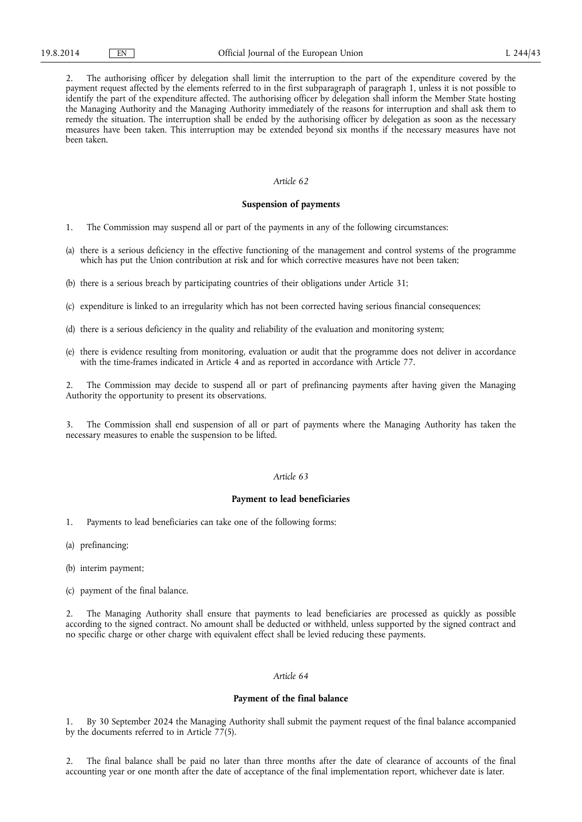2. The authorising officer by delegation shall limit the interruption to the part of the expenditure covered by the payment request affected by the elements referred to in the first subparagraph of paragraph 1, unless it is not possible to identify the part of the expenditure affected. The authorising officer by delegation shall inform the Member State hosting the Managing Authority and the Managing Authority immediately of the reasons for interruption and shall ask them to remedy the situation. The interruption shall be ended by the authorising officer by delegation as soon as the necessary measures have been taken. This interruption may be extended beyond six months if the necessary measures have not been taken.

## *Article 62*

### **Suspension of payments**

- 1. The Commission may suspend all or part of the payments in any of the following circumstances:
- (a) there is a serious deficiency in the effective functioning of the management and control systems of the programme which has put the Union contribution at risk and for which corrective measures have not been taken;
- (b) there is a serious breach by participating countries of their obligations under Article 31;
- (c) expenditure is linked to an irregularity which has not been corrected having serious financial consequences;
- (d) there is a serious deficiency in the quality and reliability of the evaluation and monitoring system;
- (e) there is evidence resulting from monitoring, evaluation or audit that the programme does not deliver in accordance with the time-frames indicated in Article 4 and as reported in accordance with Article 77.

2. The Commission may decide to suspend all or part of prefinancing payments after having given the Managing Authority the opportunity to present its observations.

3. The Commission shall end suspension of all or part of payments where the Managing Authority has taken the necessary measures to enable the suspension to be lifted.

## *Article 63*

#### **Payment to lead beneficiaries**

- 1. Payments to lead beneficiaries can take one of the following forms:
- (a) prefinancing;
- (b) interim payment;
- (c) payment of the final balance.

2. The Managing Authority shall ensure that payments to lead beneficiaries are processed as quickly as possible according to the signed contract. No amount shall be deducted or withheld, unless supported by the signed contract and no specific charge or other charge with equivalent effect shall be levied reducing these payments.

### *Article 64*

## **Payment of the final balance**

1. By 30 September 2024 the Managing Authority shall submit the payment request of the final balance accompanied by the documents referred to in Article 77(5).

2. The final balance shall be paid no later than three months after the date of clearance of accounts of the final accounting year or one month after the date of acceptance of the final implementation report, whichever date is later.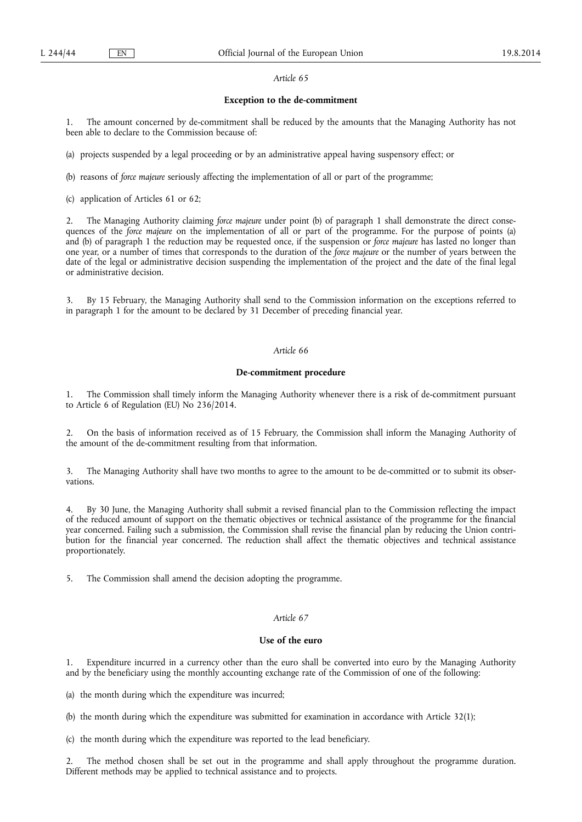## **Exception to the de-commitment**

1. The amount concerned by de-commitment shall be reduced by the amounts that the Managing Authority has not been able to declare to the Commission because of:

(a) projects suspended by a legal proceeding or by an administrative appeal having suspensory effect; or

(b) reasons of *force majeure* seriously affecting the implementation of all or part of the programme;

(c) application of Articles 61 or 62;

2. The Managing Authority claiming *force majeure* under point (b) of paragraph 1 shall demonstrate the direct consequences of the *force majeure* on the implementation of all or part of the programme. For the purpose of points (a) and (b) of paragraph 1 the reduction may be requested once, if the suspension or *force majeure* has lasted no longer than one year, or a number of times that corresponds to the duration of the *force majeure* or the number of years between the date of the legal or administrative decision suspending the implementation of the project and the date of the final legal or administrative decision.

3. By 15 February, the Managing Authority shall send to the Commission information on the exceptions referred to in paragraph 1 for the amount to be declared by 31 December of preceding financial year.

## *Article 66*

## **De-commitment procedure**

1. The Commission shall timely inform the Managing Authority whenever there is a risk of de-commitment pursuant to Article 6 of Regulation (EU) No 236/2014.

2. On the basis of information received as of 15 February, the Commission shall inform the Managing Authority of the amount of the de-commitment resulting from that information.

3. The Managing Authority shall have two months to agree to the amount to be de-committed or to submit its observations.

4. By 30 June, the Managing Authority shall submit a revised financial plan to the Commission reflecting the impact of the reduced amount of support on the thematic objectives or technical assistance of the programme for the financial year concerned. Failing such a submission, the Commission shall revise the financial plan by reducing the Union contribution for the financial year concerned. The reduction shall affect the thematic objectives and technical assistance proportionately.

5. The Commission shall amend the decision adopting the programme.

# *Article 67*

## **Use of the euro**

Expenditure incurred in a currency other than the euro shall be converted into euro by the Managing Authority and by the beneficiary using the monthly accounting exchange rate of the Commission of one of the following:

(a) the month during which the expenditure was incurred;

(b) the month during which the expenditure was submitted for examination in accordance with Article 32(1);

(c) the month during which the expenditure was reported to the lead beneficiary.

2. The method chosen shall be set out in the programme and shall apply throughout the programme duration. Different methods may be applied to technical assistance and to projects.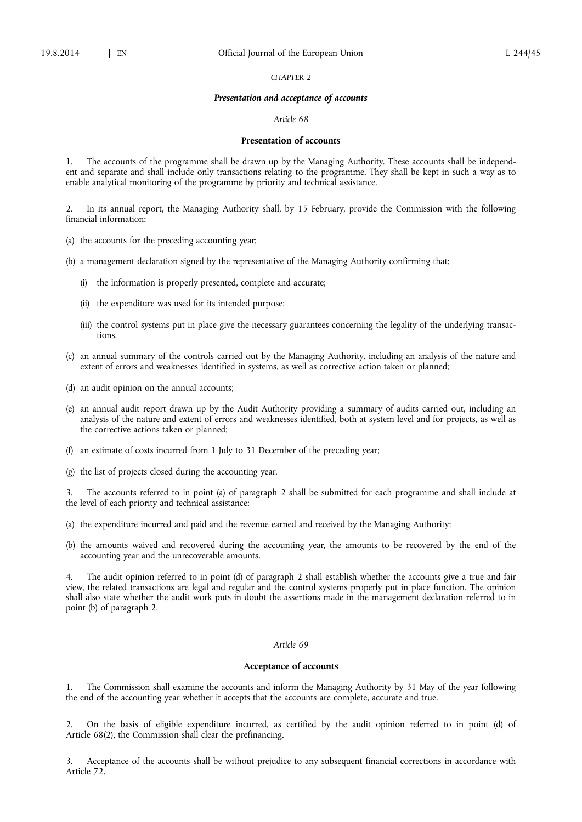*CHAPTER 2* 

#### *Presentation and acceptance of accounts*

## *Article 68*

### **Presentation of accounts**

1. The accounts of the programme shall be drawn up by the Managing Authority. These accounts shall be independent and separate and shall include only transactions relating to the programme. They shall be kept in such a way as to enable analytical monitoring of the programme by priority and technical assistance.

2. In its annual report, the Managing Authority shall, by 15 February, provide the Commission with the following financial information:

(a) the accounts for the preceding accounting year;

(b) a management declaration signed by the representative of the Managing Authority confirming that:

- (i) the information is properly presented, complete and accurate;
- (ii) the expenditure was used for its intended purpose;
- (iii) the control systems put in place give the necessary guarantees concerning the legality of the underlying transactions.
- (c) an annual summary of the controls carried out by the Managing Authority, including an analysis of the nature and extent of errors and weaknesses identified in systems, as well as corrective action taken or planned;
- (d) an audit opinion on the annual accounts;
- (e) an annual audit report drawn up by the Audit Authority providing a summary of audits carried out, including an analysis of the nature and extent of errors and weaknesses identified, both at system level and for projects, as well as the corrective actions taken or planned;
- (f) an estimate of costs incurred from 1 July to 31 December of the preceding year;
- (g) the list of projects closed during the accounting year.

The accounts referred to in point (a) of paragraph 2 shall be submitted for each programme and shall include at the level of each priority and technical assistance:

- (a) the expenditure incurred and paid and the revenue earned and received by the Managing Authority;
- (b) the amounts waived and recovered during the accounting year, the amounts to be recovered by the end of the accounting year and the unrecoverable amounts.

4. The audit opinion referred to in point (d) of paragraph 2 shall establish whether the accounts give a true and fair view, the related transactions are legal and regular and the control systems properly put in place function. The opinion shall also state whether the audit work puts in doubt the assertions made in the management declaration referred to in point (b) of paragraph 2.

# *Article 69*

### **Acceptance of accounts**

1. The Commission shall examine the accounts and inform the Managing Authority by 31 May of the year following the end of the accounting year whether it accepts that the accounts are complete, accurate and true.

2. On the basis of eligible expenditure incurred, as certified by the audit opinion referred to in point (d) of Article 68(2), the Commission shall clear the prefinancing.

3. Acceptance of the accounts shall be without prejudice to any subsequent financial corrections in accordance with Article 72.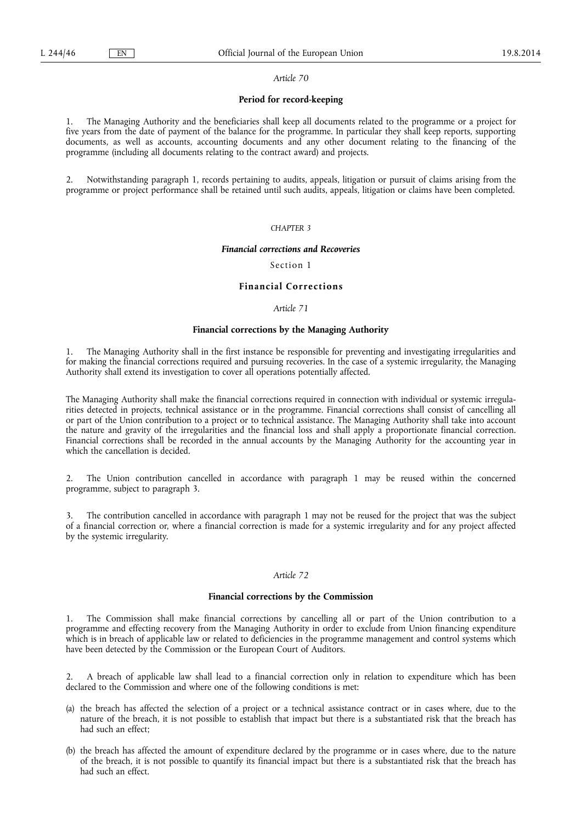## **Period for record-keeping**

1. The Managing Authority and the beneficiaries shall keep all documents related to the programme or a project for five years from the date of payment of the balance for the programme. In particular they shall keep reports, supporting documents, as well as accounts, accounting documents and any other document relating to the financing of the programme (including all documents relating to the contract award) and projects.

2. Notwithstanding paragraph 1, records pertaining to audits, appeals, litigation or pursuit of claims arising from the programme or project performance shall be retained until such audits, appeals, litigation or claims have been completed.

### *CHAPTER 3*

#### *Financial corrections and Recoveries*

Section 1

## **Financial Corrections**

## *Article 71*

### **Financial corrections by the Managing Authority**

1. The Managing Authority shall in the first instance be responsible for preventing and investigating irregularities and for making the financial corrections required and pursuing recoveries. In the case of a systemic irregularity, the Managing Authority shall extend its investigation to cover all operations potentially affected.

The Managing Authority shall make the financial corrections required in connection with individual or systemic irregularities detected in projects, technical assistance or in the programme. Financial corrections shall consist of cancelling all or part of the Union contribution to a project or to technical assistance. The Managing Authority shall take into account the nature and gravity of the irregularities and the financial loss and shall apply a proportionate financial correction. Financial corrections shall be recorded in the annual accounts by the Managing Authority for the accounting year in which the cancellation is decided.

2. The Union contribution cancelled in accordance with paragraph 1 may be reused within the concerned programme, subject to paragraph 3.

3. The contribution cancelled in accordance with paragraph 1 may not be reused for the project that was the subject of a financial correction or, where a financial correction is made for a systemic irregularity and for any project affected by the systemic irregularity.

#### *Article 72*

### **Financial corrections by the Commission**

The Commission shall make financial corrections by cancelling all or part of the Union contribution to a programme and effecting recovery from the Managing Authority in order to exclude from Union financing expenditure which is in breach of applicable law or related to deficiencies in the programme management and control systems which have been detected by the Commission or the European Court of Auditors.

2. A breach of applicable law shall lead to a financial correction only in relation to expenditure which has been declared to the Commission and where one of the following conditions is met:

- (a) the breach has affected the selection of a project or a technical assistance contract or in cases where, due to the nature of the breach, it is not possible to establish that impact but there is a substantiated risk that the breach has had such an effect;
- (b) the breach has affected the amount of expenditure declared by the programme or in cases where, due to the nature of the breach, it is not possible to quantify its financial impact but there is a substantiated risk that the breach has had such an effect.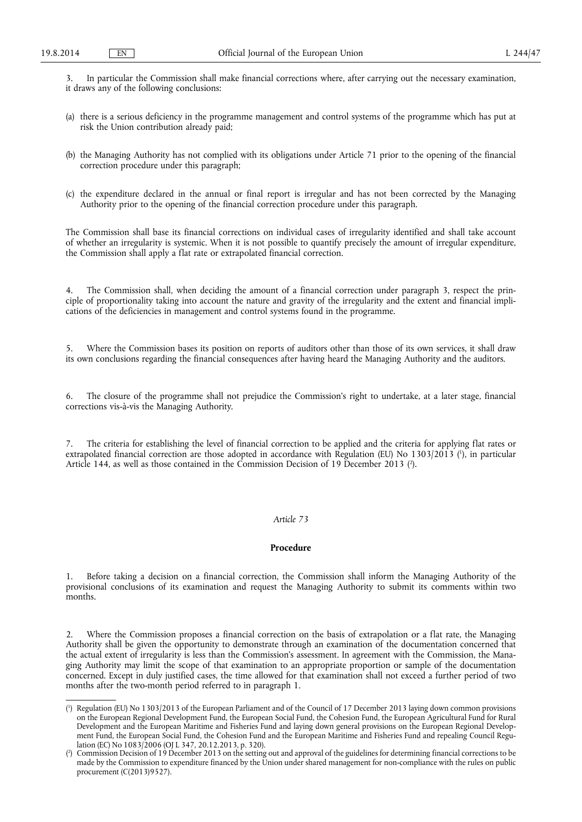3. In particular the Commission shall make financial corrections where, after carrying out the necessary examination, it draws any of the following conclusions:

- (a) there is a serious deficiency in the programme management and control systems of the programme which has put at risk the Union contribution already paid;
- (b) the Managing Authority has not complied with its obligations under Article 71 prior to the opening of the financial correction procedure under this paragraph;
- (c) the expenditure declared in the annual or final report is irregular and has not been corrected by the Managing Authority prior to the opening of the financial correction procedure under this paragraph.

The Commission shall base its financial corrections on individual cases of irregularity identified and shall take account of whether an irregularity is systemic. When it is not possible to quantify precisely the amount of irregular expenditure, the Commission shall apply a flat rate or extrapolated financial correction.

4. The Commission shall, when deciding the amount of a financial correction under paragraph 3, respect the principle of proportionality taking into account the nature and gravity of the irregularity and the extent and financial implications of the deficiencies in management and control systems found in the programme.

5. Where the Commission bases its position on reports of auditors other than those of its own services, it shall draw its own conclusions regarding the financial consequences after having heard the Managing Authority and the auditors.

6. The closure of the programme shall not prejudice the Commission's right to undertake, at a later stage, financial corrections vis-à-vis the Managing Authority.

The criteria for establishing the level of financial correction to be applied and the criteria for applying flat rates or extrapolated financial correction are those adopted in accordance with Regulation (EU) No 1303/2013 ( 1 ), in particular Article 144, as well as those contained in the Commission Decision of 19 December 2013 (?).

## *Article 73*

## **Procedure**

1. Before taking a decision on a financial correction, the Commission shall inform the Managing Authority of the provisional conclusions of its examination and request the Managing Authority to submit its comments within two months.

2. Where the Commission proposes a financial correction on the basis of extrapolation or a flat rate, the Managing Authority shall be given the opportunity to demonstrate through an examination of the documentation concerned that the actual extent of irregularity is less than the Commission's assessment. In agreement with the Commission, the Managing Authority may limit the scope of that examination to an appropriate proportion or sample of the documentation concerned. Except in duly justified cases, the time allowed for that examination shall not exceed a further period of two months after the two-month period referred to in paragraph 1.

<sup>(</sup> 1 ) Regulation (EU) No 1303/2013 of the European Parliament and of the Council of 17 December 2013 laying down common provisions on the European Regional Development Fund, the European Social Fund, the Cohesion Fund, the European Agricultural Fund for Rural Development and the European Maritime and Fisheries Fund and laying down general provisions on the European Regional Development Fund, the European Social Fund, the Cohesion Fund and the European Maritime and Fisheries Fund and repealing Council Regulation (EC) No 1083/2006 (OJ L 347, 20.12.2013, p. 320).

<sup>(</sup> 2 ) Commission Decision of 19 December 2013 on the setting out and approval of the guidelines for determining financial corrections to be made by the Commission to expenditure financed by the Union under shared management for non-compliance with the rules on public procurement (C(2013)9527).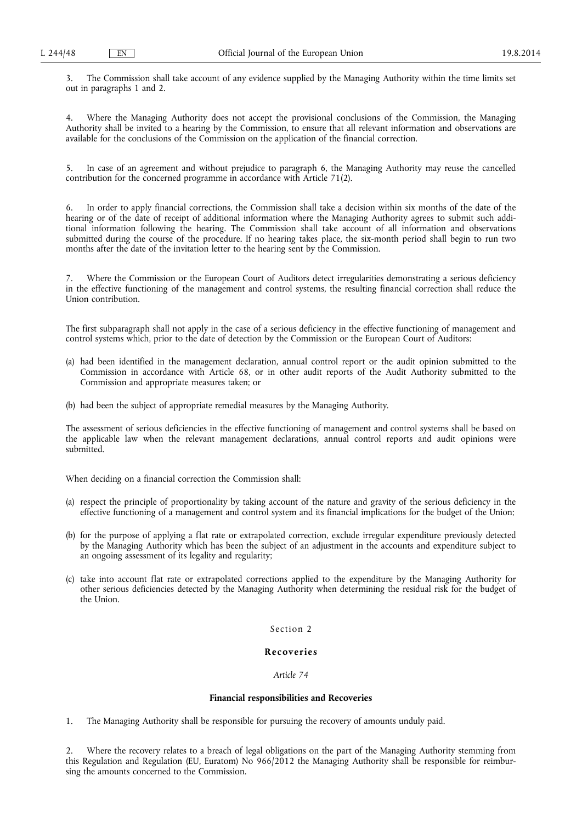3. The Commission shall take account of any evidence supplied by the Managing Authority within the time limits set out in paragraphs 1 and 2.

4. Where the Managing Authority does not accept the provisional conclusions of the Commission, the Managing Authority shall be invited to a hearing by the Commission, to ensure that all relevant information and observations are available for the conclusions of the Commission on the application of the financial correction.

5. In case of an agreement and without prejudice to paragraph 6, the Managing Authority may reuse the cancelled contribution for the concerned programme in accordance with Article 71(2).

6. In order to apply financial corrections, the Commission shall take a decision within six months of the date of the hearing or of the date of receipt of additional information where the Managing Authority agrees to submit such additional information following the hearing. The Commission shall take account of all information and observations submitted during the course of the procedure. If no hearing takes place, the six-month period shall begin to run two months after the date of the invitation letter to the hearing sent by the Commission.

7. Where the Commission or the European Court of Auditors detect irregularities demonstrating a serious deficiency in the effective functioning of the management and control systems, the resulting financial correction shall reduce the Union contribution.

The first subparagraph shall not apply in the case of a serious deficiency in the effective functioning of management and control systems which, prior to the date of detection by the Commission or the European Court of Auditors:

- (a) had been identified in the management declaration, annual control report or the audit opinion submitted to the Commission in accordance with Article 68, or in other audit reports of the Audit Authority submitted to the Commission and appropriate measures taken; or
- (b) had been the subject of appropriate remedial measures by the Managing Authority.

The assessment of serious deficiencies in the effective functioning of management and control systems shall be based on the applicable law when the relevant management declarations, annual control reports and audit opinions were submitted.

When deciding on a financial correction the Commission shall:

- (a) respect the principle of proportionality by taking account of the nature and gravity of the serious deficiency in the effective functioning of a management and control system and its financial implications for the budget of the Union;
- (b) for the purpose of applying a flat rate or extrapolated correction, exclude irregular expenditure previously detected by the Managing Authority which has been the subject of an adjustment in the accounts and expenditure subject to an ongoing assessment of its legality and regularity;
- (c) take into account flat rate or extrapolated corrections applied to the expenditure by the Managing Authority for other serious deficiencies detected by the Managing Authority when determining the residual risk for the budget of the Union.

## Section 2

## **Recove ries**

## *Article 74*

## **Financial responsibilities and Recoveries**

1. The Managing Authority shall be responsible for pursuing the recovery of amounts unduly paid.

2. Where the recovery relates to a breach of legal obligations on the part of the Managing Authority stemming from this Regulation and Regulation (EU, Euratom) No 966/2012 the Managing Authority shall be responsible for reimbursing the amounts concerned to the Commission.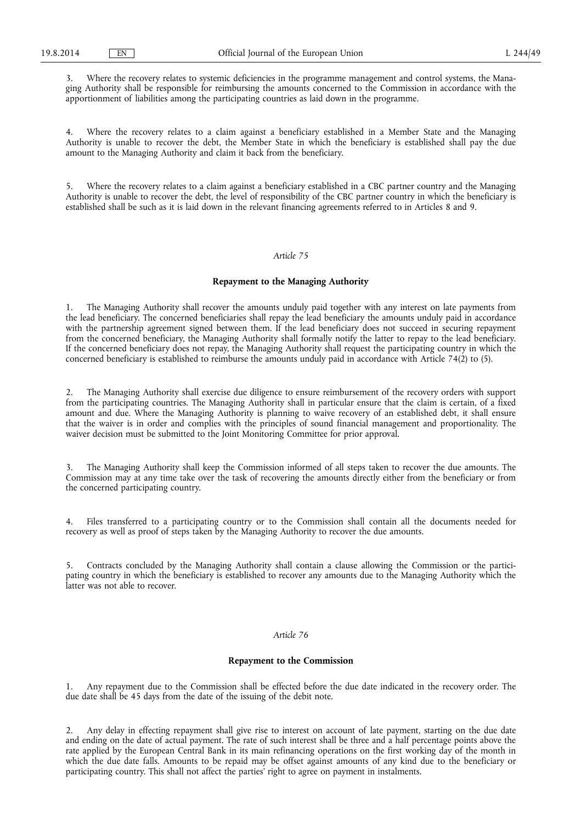3. Where the recovery relates to systemic deficiencies in the programme management and control systems, the Managing Authority shall be responsible for reimbursing the amounts concerned to the Commission in accordance with the apportionment of liabilities among the participating countries as laid down in the programme.

4. Where the recovery relates to a claim against a beneficiary established in a Member State and the Managing Authority is unable to recover the debt, the Member State in which the beneficiary is established shall pay the due amount to the Managing Authority and claim it back from the beneficiary.

5. Where the recovery relates to a claim against a beneficiary established in a CBC partner country and the Managing Authority is unable to recover the debt, the level of responsibility of the CBC partner country in which the beneficiary is established shall be such as it is laid down in the relevant financing agreements referred to in Articles 8 and 9.

## *Article 75*

## **Repayment to the Managing Authority**

1. The Managing Authority shall recover the amounts unduly paid together with any interest on late payments from the lead beneficiary. The concerned beneficiaries shall repay the lead beneficiary the amounts unduly paid in accordance with the partnership agreement signed between them. If the lead beneficiary does not succeed in securing repayment from the concerned beneficiary, the Managing Authority shall formally notify the latter to repay to the lead beneficiary. If the concerned beneficiary does not repay, the Managing Authority shall request the participating country in which the concerned beneficiary is established to reimburse the amounts unduly paid in accordance with Article 74(2) to (5).

2. The Managing Authority shall exercise due diligence to ensure reimbursement of the recovery orders with support from the participating countries. The Managing Authority shall in particular ensure that the claim is certain, of a fixed amount and due. Where the Managing Authority is planning to waive recovery of an established debt, it shall ensure that the waiver is in order and complies with the principles of sound financial management and proportionality. The waiver decision must be submitted to the Joint Monitoring Committee for prior approval.

3. The Managing Authority shall keep the Commission informed of all steps taken to recover the due amounts. The Commission may at any time take over the task of recovering the amounts directly either from the beneficiary or from the concerned participating country.

4. Files transferred to a participating country or to the Commission shall contain all the documents needed for recovery as well as proof of steps taken by the Managing Authority to recover the due amounts.

5. Contracts concluded by the Managing Authority shall contain a clause allowing the Commission or the participating country in which the beneficiary is established to recover any amounts due to the Managing Authority which the latter was not able to recover.

# *Article 76*

### **Repayment to the Commission**

1. Any repayment due to the Commission shall be effected before the due date indicated in the recovery order. The due date shall be 45 days from the date of the issuing of the debit note.

2. Any delay in effecting repayment shall give rise to interest on account of late payment, starting on the due date and ending on the date of actual payment. The rate of such interest shall be three and a half percentage points above the rate applied by the European Central Bank in its main refinancing operations on the first working day of the month in which the due date falls. Amounts to be repaid may be offset against amounts of any kind due to the beneficiary or participating country. This shall not affect the parties' right to agree on payment in instalments.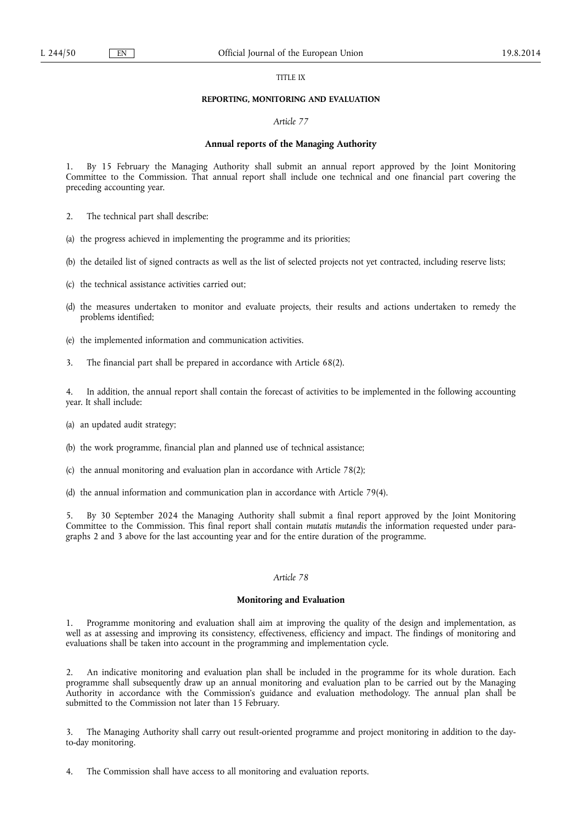### TITLE IX

#### **REPORTING, MONITORING AND EVALUATION**

### *Article 77*

### **Annual reports of the Managing Authority**

1. By 15 February the Managing Authority shall submit an annual report approved by the Joint Monitoring Committee to the Commission. That annual report shall include one technical and one financial part covering the preceding accounting year.

2. The technical part shall describe:

(a) the progress achieved in implementing the programme and its priorities;

(b) the detailed list of signed contracts as well as the list of selected projects not yet contracted, including reserve lists;

- (c) the technical assistance activities carried out;
- (d) the measures undertaken to monitor and evaluate projects, their results and actions undertaken to remedy the problems identified;
- (e) the implemented information and communication activities.
- 3. The financial part shall be prepared in accordance with Article 68(2).

In addition, the annual report shall contain the forecast of activities to be implemented in the following accounting year. It shall include:

- (a) an updated audit strategy;
- (b) the work programme, financial plan and planned use of technical assistance;
- (c) the annual monitoring and evaluation plan in accordance with Article 78(2);
- (d) the annual information and communication plan in accordance with Article 79(4).

5. By 30 September 2024 the Managing Authority shall submit a final report approved by the Joint Monitoring Committee to the Commission. This final report shall contain *mutatis mutandis* the information requested under paragraphs 2 and 3 above for the last accounting year and for the entire duration of the programme.

## *Article 78*

## **Monitoring and Evaluation**

1. Programme monitoring and evaluation shall aim at improving the quality of the design and implementation, as well as at assessing and improving its consistency, effectiveness, efficiency and impact. The findings of monitoring and evaluations shall be taken into account in the programming and implementation cycle.

2. An indicative monitoring and evaluation plan shall be included in the programme for its whole duration. Each programme shall subsequently draw up an annual monitoring and evaluation plan to be carried out by the Managing Authority in accordance with the Commission's guidance and evaluation methodology. The annual plan shall be submitted to the Commission not later than 15 February.

3. The Managing Authority shall carry out result-oriented programme and project monitoring in addition to the dayto-day monitoring.

4. The Commission shall have access to all monitoring and evaluation reports.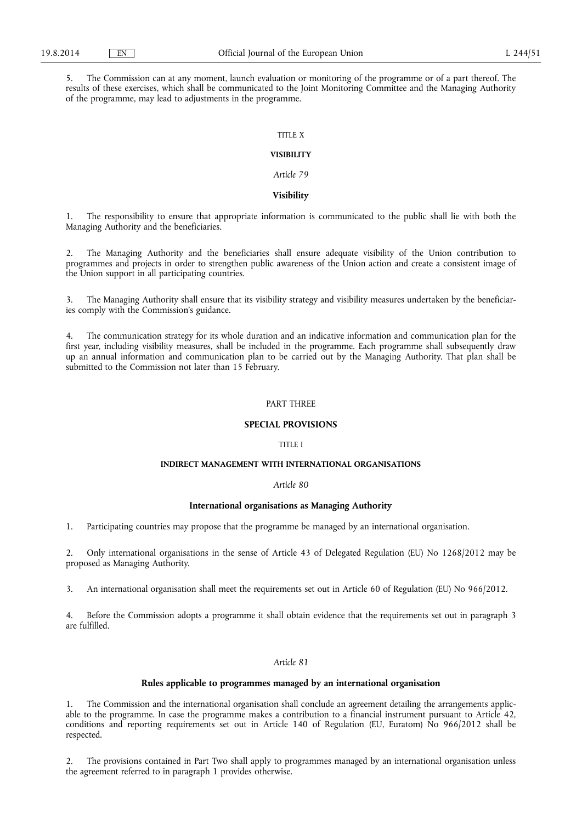5. The Commission can at any moment, launch evaluation or monitoring of the programme or of a part thereof. The results of these exercises, which shall be communicated to the Joint Monitoring Committee and the Managing Authority of the programme, may lead to adjustments in the programme.

## TITLE X

# **VISIBILITY**

*Article 79* 

### **Visibility**

1. The responsibility to ensure that appropriate information is communicated to the public shall lie with both the Managing Authority and the beneficiaries.

2. The Managing Authority and the beneficiaries shall ensure adequate visibility of the Union contribution to programmes and projects in order to strengthen public awareness of the Union action and create a consistent image of the Union support in all participating countries.

3. The Managing Authority shall ensure that its visibility strategy and visibility measures undertaken by the beneficiaries comply with the Commission's guidance.

4. The communication strategy for its whole duration and an indicative information and communication plan for the first year, including visibility measures, shall be included in the programme. Each programme shall subsequently draw up an annual information and communication plan to be carried out by the Managing Authority. That plan shall be submitted to the Commission not later than 15 February.

## PART THREE

#### **SPECIAL PROVISIONS**

# TITLE I

# **INDIRECT MANAGEMENT WITH INTERNATIONAL ORGANISATIONS**

### *Article 80*

## **International organisations as Managing Authority**

1. Participating countries may propose that the programme be managed by an international organisation.

2. Only international organisations in the sense of Article 43 of Delegated Regulation (EU) No 1268/2012 may be proposed as Managing Authority.

3. An international organisation shall meet the requirements set out in Article 60 of Regulation (EU) No 966/2012.

4. Before the Commission adopts a programme it shall obtain evidence that the requirements set out in paragraph 3 are fulfilled.

### *Article 81*

### **Rules applicable to programmes managed by an international organisation**

1. The Commission and the international organisation shall conclude an agreement detailing the arrangements applicable to the programme. In case the programme makes a contribution to a financial instrument pursuant to Article 42, conditions and reporting requirements set out in Article 140 of Regulation (EU, Euratom) No 966/2012 shall be respected.

2. The provisions contained in Part Two shall apply to programmes managed by an international organisation unless the agreement referred to in paragraph 1 provides otherwise.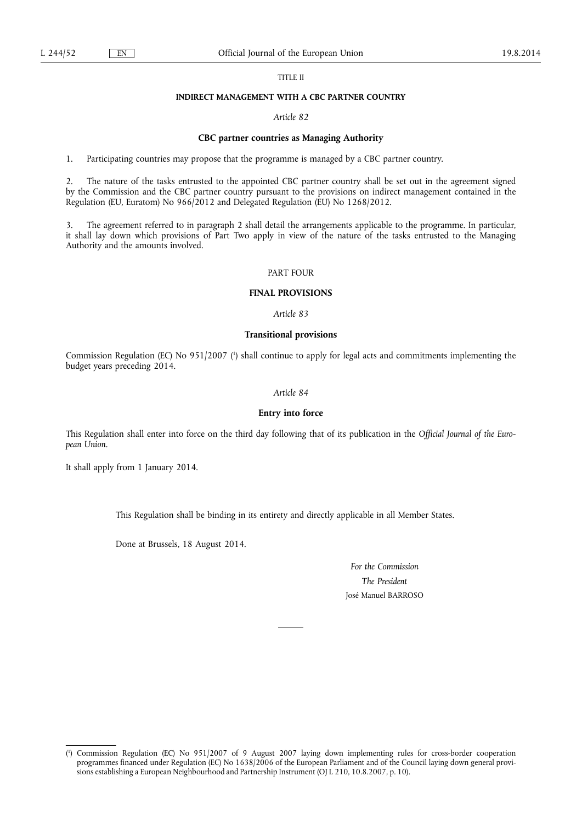### TITLE II

### **INDIRECT MANAGEMENT WITH A CBC PARTNER COUNTRY**

# *Article 82*

### **CBC partner countries as Managing Authority**

1. Participating countries may propose that the programme is managed by a CBC partner country.

2. The nature of the tasks entrusted to the appointed CBC partner country shall be set out in the agreement signed by the Commission and the CBC partner country pursuant to the provisions on indirect management contained in the Regulation (EU, Euratom) No 966/2012 and Delegated Regulation (EU) No 1268/2012.

3. The agreement referred to in paragraph 2 shall detail the arrangements applicable to the programme. In particular, it shall lay down which provisions of Part Two apply in view of the nature of the tasks entrusted to the Managing Authority and the amounts involved.

# PART FOUR

# **FINAL PROVISIONS**

*Article 83* 

## **Transitional provisions**

Commission Regulation (EC) No 951/2007 (<sup>1</sup>) shall continue to apply for legal acts and commitments implementing the budget years preceding 2014.

## *Article 84*

#### **Entry into force**

This Regulation shall enter into force on the third day following that of its publication in the *Official Journal of the European Union*.

It shall apply from 1 January 2014.

This Regulation shall be binding in its entirety and directly applicable in all Member States.

Done at Brussels, 18 August 2014.

*For the Commission The President*  José Manuel BARROSO

<sup>(</sup> 1 ) Commission Regulation (EC) No 951/2007 of 9 August 2007 laying down implementing rules for cross-border cooperation programmes financed under Regulation (EC) No 1638/2006 of the European Parliament and of the Council laying down general provisions establishing a European Neighbourhood and Partnership Instrument (OJ L 210, 10.8.2007, p. 10).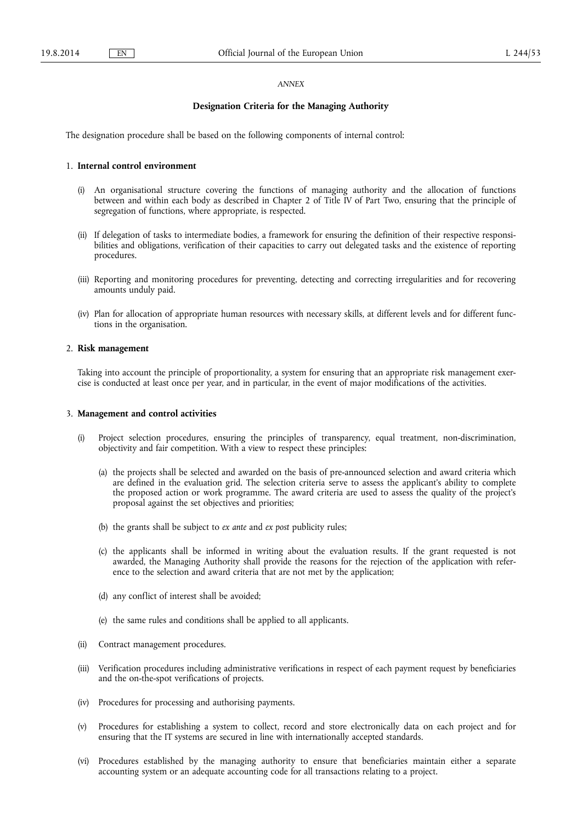#### *ANNEX*

### **Designation Criteria for the Managing Authority**

The designation procedure shall be based on the following components of internal control:

### 1. **Internal control environment**

- (i) An organisational structure covering the functions of managing authority and the allocation of functions between and within each body as described in Chapter 2 of Title IV of Part Two, ensuring that the principle of segregation of functions, where appropriate, is respected.
- (ii) If delegation of tasks to intermediate bodies, a framework for ensuring the definition of their respective responsibilities and obligations, verification of their capacities to carry out delegated tasks and the existence of reporting procedures.
- (iii) Reporting and monitoring procedures for preventing, detecting and correcting irregularities and for recovering amounts unduly paid.
- (iv) Plan for allocation of appropriate human resources with necessary skills, at different levels and for different functions in the organisation.

## 2. **Risk management**

Taking into account the principle of proportionality, a system for ensuring that an appropriate risk management exercise is conducted at least once per year, and in particular, in the event of major modifications of the activities.

### 3. **Management and control activities**

- Project selection procedures, ensuring the principles of transparency, equal treatment, non-discrimination, objectivity and fair competition. With a view to respect these principles:
	- (a) the projects shall be selected and awarded on the basis of pre-announced selection and award criteria which are defined in the evaluation grid. The selection criteria serve to assess the applicant's ability to complete the proposed action or work programme. The award criteria are used to assess the quality of the project's proposal against the set objectives and priorities;
	- (b) the grants shall be subject to *ex ante* and *ex post* publicity rules;
	- (c) the applicants shall be informed in writing about the evaluation results. If the grant requested is not awarded, the Managing Authority shall provide the reasons for the rejection of the application with reference to the selection and award criteria that are not met by the application;
	- (d) any conflict of interest shall be avoided;
	- (e) the same rules and conditions shall be applied to all applicants.
- (ii) Contract management procedures.
- (iii) Verification procedures including administrative verifications in respect of each payment request by beneficiaries and the on-the-spot verifications of projects.
- (iv) Procedures for processing and authorising payments.
- (v) Procedures for establishing a system to collect, record and store electronically data on each project and for ensuring that the IT systems are secured in line with internationally accepted standards.
- (vi) Procedures established by the managing authority to ensure that beneficiaries maintain either a separate accounting system or an adequate accounting code for all transactions relating to a project.